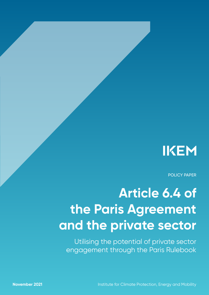

POLICY PAPER

# **Article 6.4 of the Paris Agreement and the private sector**

Utilising the potential of private sector engagement through the Paris Rulebook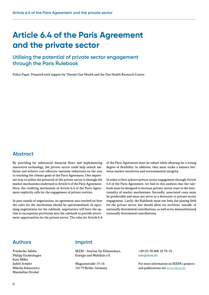## **Article 6.4 of the Paris Agreement and the private sector**

## **Utilising the potential of private sector engagement through the Paris Rulebook**

Policy Paper. Prepared with support by Therme One Health and the One Health Research Center.

### **Abstract**

By providing for substantial financial flows and implementing innovative technology, the private sector could help unlock ambition and achieve cost-effective emission reductions on the way to reaching the climate goals of the Paris Agreement. One important way to utilise the potential of the private sector is through the market mechanisms enshrined in Article 6 of the Paris Agreement. Here, the crediting mechanism of Article 6.4 of the Paris Agreement explicitly calls for the engagement of private entities.

In past rounds of negotiations, no agreement was reached on how the rules for the mechanism should be operationalised. In upcoming negotiations for the rulebook, negotiatiors will have the option to incorporate provisions into the rulebook to provide investment opportunities for the private sector. The rules for Article 6.4

of the Paris Agreement must be robust while allowing for a strong degree of flexibility. In addition, they must strike a balance between market incentives and environmental integrity.

In order to best achieve private sector engagement through Article 6.4 of the Paris Agreement, we find in this analysis that the rulebook must be designed to increase private-sector trust in the functionality of market mechanisms. Secondly, associated costs must be predictable and must not serve as a deterrent to private sector engagement. Lastly, the Rulebook must not limit the playing field for the private sector, but should allow for activities 'outside' of nationally determined contributions, as well as for demand beyond nationally determined contributions.

### **Authors**

Friederike Allolio Philipp Eschenhagen Kate Miller Judith Schäfer Mikolaj Sekutowicz Maximilian Strobel

### **Imprint**

IKEM – Institut für Klimaschutz, Energie und Mobilität e.V.

Magazinstraße 15-16 10179 Berlin, Germany

+49 (0) 30 408 18 70-10 [info@ikem.de](mailto:info%40ikem.de?subject=)

For more information on IKEM's projects and publications see [www.ikem.de](http://www.­ikem.de)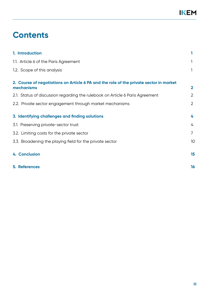## **Contents**

| 1. Introduction                                                                                      |                |
|------------------------------------------------------------------------------------------------------|----------------|
| 1.1. Article 6 of the Paris Agreement                                                                | 1              |
| 1.2. Scope of this analysis                                                                          | 1              |
| 2. Course of negotiations on Article 6 PA and the role of the private sector in market<br>mechanisms | $\mathbf{2}$   |
| 2.1. Status of discussion regarding the rulebook on Article 6 Paris Agreement                        | 2              |
| 2.2. Private sector engagement through market mechanisms                                             | 2              |
| 3. Identifying challenges and finding solutions                                                      | 4              |
| 3.1. Preserving private-sector trust                                                                 | 4              |
| 3.2. Limiting costs for the private sector                                                           | $\overline{7}$ |
| 3.3. Broadening the playing field for the private sector                                             | 10             |
| 4. Conclusion                                                                                        | 15             |
| <b>5. References</b>                                                                                 | 16             |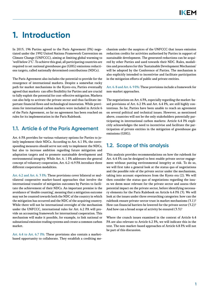## <span id="page-3-0"></span>**1. Introduction**

In 2015, 196 Parties agreed to the Paris Agreement (PA) negotiated under the 1992 United Nations Framework Convention on Climate Change (UNFCCC), aiming at limiting global warming to 'well below 2°C'. To achieve this goal, all participating countries are required to set national greenhouse gas (GHG) emissions reductions targets, called nationally determined contributions (NDCs).

The Paris Agreement also includes the potential to provide for the resurgence of international markets. Despite a somewhat rocky path for market mechanisms in the Kyoto era, Parties eventually agreed that markets can offer flexibility for Parties and are crucial to fully exploit the potential for cost-effective mitigation. Markets can also help to activate the private sector and thus facilitate important financial flows and technological innovation. While provisions for international carbon markets were included in Article 6 of the Paris Agreement, so far no agreement has been reached on rules for its implementation in the Paris Rulebook.

## **1.1. Article 6 of the Paris Agreement**

Art. 6 PA provides for various voluntary options for Parties to jointly implement their NDCs. According to Art. 6.1 PA, the corresponding measures should serve not only to implement the NDCs, but also to increase ambition regarding future mitigation and adaptation targets and to promote sustainable development and environmental integrity. While Art. 6. 1 PA addresses the general concept of voluntary cooperation, Art. 6.2–6.9 PA introduce three different cooperation modalities.

Art. 6.2 and Art. 6. 3 PA: These provisions cover bilateral or multilateral cooperative market-based approaches that involve the international transfer of mitigation outcomes by Parties to facilitate the achievement of their NDCs. An important premise is the avoidance of 'double counting', meaning that a mitigation outcome may not be counted towards both the NDC of the country in which the mitigation has occurred and the NDC of the acquiring country. While there will not be international oversight of the mechanism under the UNFCCC, international rules for Art. 6.2 PA will provide an accounting framework for international cooperation. This mechanism will make it possible, for example, to link national or subnational emission trading systems and create a common carbon market.

Art. 6.4 to Art. 6.7 PA: These provisions also contain a marketbased opportunity to collaborate. They establish a crediting me-

chanism under the auspices of the UNFCCC that issues emission reduction credits for activities authorised by Parties in support of sustainable development. The generated reductions can be acquired by other Parties and used towards their NDC. Rules, modalities and procedures for this 'Sustainable Development Mechanism' will be adopted by the Conference of Parties. The mechanism is also explicitly intended to incentivise and facilitate participation in the mitigation efforts of public and private entities.

Art. 6. 8 and Art. 6. 9 PA: These provisions include a framework for non-market approaches.

The negotiations on Art. 6 PA, especially regarding the market-based provisions of Art. 6.2 PA and Art. 6.4 PA, are still highly contentious. So far, Parties have been unable to reach an agreement on several political and technical issues. However, as mentioned above, countries will not be the only stakeholders potentially participating in international carbon markets: Article 6.4 PA explicitly acknowledges the need to incentivise and facilitate the participation of private entities in the mitigation of greenhouse gas emissions (GHG).

## **1.2. Scope of this analysis**

This analysis provides recommendations on how the rulebook for Art. 6.4 PA can be designed to best enable private sector engagement without putting environmental integrity at risk. To do so, we will first take a general look at the status quo of negotiations and the possible role of the private sector under the mechanisms, taking into account experiences from the Kyoto era (2). We will then consider the status quo of negotiations regarding the issues we deem most relevant for the private sector and assess their potential impact on the private sector, before identifying necessary elements for the Paris Rulebook on Article 6.4 PA (3). We will look at the issues under three overarching categories: how can the rulebook ensure private-sector trust in market mechanisms (3.1)? How can financial barriers be lowered for the private sector (3.2)? And how can a broad scope of activity be ensured (3.3)?

Where the crunch issues examined in the context of Article 6.4 PA are also relevant to Article 6.2 PA, we will indicate this in the text. The non-market-based approaches of Article 6.8 PA will not be part of this discussion.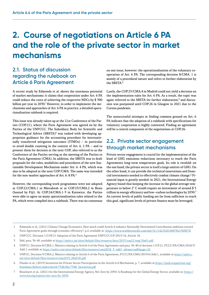## <span id="page-4-0"></span>**2. Course of negotiations on Article 6 PA and the role of the private sector in market mechanisms**

## **2.1. Status of discussion regarding the rulebook on Article 6 Paris Agreement**

A recent study by Edmonds et al. shows the enormous potential of market mechanisms: it claims that cooperation under Art. 6 PA could reduce the costs of achieving the respective NDCs by \$ 300 billion per year in 2030.<sup>1</sup> However, in order to implement the mechanisms and approaches of Art. 6 PA in practice, a detailed operationalisation rulebook is required.

This issue was already taken up at the 21st Conference of the Parties (COP.21), where the Paris Agreement was agreed on by the Parties of the UNFCCC. The Subsidiary Body for Scientific and Technological Advice (SBSTA)**<sup>2</sup>** was tasked with developing appropriate guidance for the accounting procedure for internationally transferred mitigation outcomes (ITMOs) – in particular to avoid double counting in the context of Art. 6. 2 PA – and to present them for decision at the next COP, also referred to as the Conference of the Parties serving as the meeting of the Parties to the Paris Agreement (CMA). In addition, the SBSTA was to draft proposals for the rules, modalities and procedures of the new Sustainable Development Mechanism under Art. 6. 4 PA, which was also to be adopted at the next COP/CMA. The same was intended for the non-market approaches of Art. 6. 8 PA.**<sup>3</sup>**

However, the corresponding work programmes were not adopted at COP.22/CMA.1 in Marrakesh or at COP.23/CMA.2 in Bonn (hosted by Fiji). At COP.24/CMA.1-3 in Katowice, the Parties were able to agree on many operationalisation rules related to the PA, which were compiled into a rulebook. There was no consensus

on one issue, however: the operationalisation of the voluntary cooperation of Art. 6 PA. The corresponding decision 8/CMA. 1 is mainly of a procedural nature and refers to further elaboration by the SBSTA.**<sup>4</sup>**

Lastly, the COP.25/CMA.4 in Madrid could not yield a decision on the implementation rules for Art. 6 PA. As a result, the topic was again referred to the SBSTA for further elaboration,**<sup>5</sup>** and discussion was postponed until COP.26 in Glasgow in 2021 due to the Corona pandemic.

The unsuccessful attempts at finding common ground on Art. 6 PA indicate that the adoption of a rulebook with specifications for voluntary cooperation is highly contested. Finding an agreement will be a central component of the negotiations at COP.26.

### **2.2. Private sector engagement through market mechanisms**

Private sector engagement is crucial for the implementation of the kind of GHG emissions reductions necessary to reach the Paris Agreements long-term temperature goals. Its role is twofold: on the one hand, the private sector is itself a large emitter of GHG. On the other hand, it can provide the technical innovations and financial investments needed to effectively combat climate change.**<sup>6</sup>** Financial input is greatly needed: in 2021, the International Energy Agency found that keeping the increase in the global average temperature to below 2° C would require an investment of around \$ 5 trillion in energy efficiency and low–carbon technologies by 2030.**<sup>7</sup>** As current levels of public funding are far from sufficient to reach this goal, significant levels of private finance must be leveraged.

- 1 Edmonds et al., (2021) Climate Change Economics, How much could Article 6 enhance Nationally Determined Contribution ambition toward Paris Agreement goals through economic efficiency?, p.2, available at: <https://www.worldscientific.com/doi/10.1142/S201000782150007X>
- 2 UNFCCC. Decision 1/COP.21 Adoption of the Paris Agreement UNFCCC/CP/2015/10, Article 18.
- 3 Ibid, para. 36-40, available at [https://unfccc.int/sites/default/files/resource/docs/2015/cop21/eng/10a01.pdf.](https://unfccc.int/sites/default/files/resource/docs/2015/cop21/eng/10a01.pdf)
- 4 UNFCC. Decision 8/CMA.1, Matters relating to Article 6 of the Paris Agreement and para. 36-40 of decision 1/CP.21, FCCC/PA/CMA/2018/3/ Add.1, available at https://unfccc.int/sites/default/files/resource/cma2018\_3\_add1\_advance.pdf#page=22.
- 5 UNFCC. Decision 9/CMA.2, Matters relating to Article 6 of the Paris Agreement, FCCC/PA/CMA/2019/6/Add.1, available at [https://unfccc.](https://unfccc.int/sites/default/files/resource/cma2019_06a01E.pdf) [int/sites/default/files/resource/cma2019\\_06a01E.pdf](https://unfccc.int/sites/default/files/resource/cma2019_06a01E.pdf).
- 6 Füssler et al., (2019) Incentives for Private Sector Participation in the Article 6.4 Mechanism, p. 7, available at [https://epub.wupperinst.org/](https://epub.wupperinst.org/frontdoor/deliver/index/docId/7548/file/7548_Incentives.pdf) [frontdoor/deliver/index/docId/7548/file/7548\\_Incentives.pdf](https://epub.wupperinst.org/frontdoor/deliver/index/docId/7548/file/7548_Incentives.pdf)
- 7 Bouckaert et al., (2021) for the International Energy Agency, Net Zero by 2050: A Roadmap for the Global Energy Sector, available at: [https://](https://www.iea.org/reports/net-zero-by-2050) [www.iea.org/reports/net-zero-by-2050](https://www.iea.org/reports/net-zero-by-2050).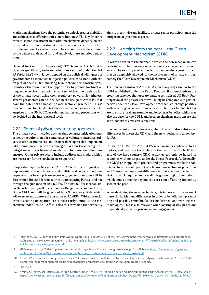Market mechanisms have the potential to unlock greater ambition and achieve cost-effective emission reductions.**<sup>8</sup>** The key driver of private-sector investment in market mechanisms depends on the expected return on investments in emission reductions, which in turn depend on the carbon price. The carbon price is determined by the balance of demand for, and supply of, these emission reductions.

Demand for (and thus the price of) ITMOs under Art. 6.2 PA – or, more specifically, emission reductions certified under Art. 6.4 PA ('A6.4ERs') – will largely depend on the political willingness of governments to introduce mitigation policies consistent with the targets of their NDCs and long-term determined contributions. Countries therefore have the opportunity to provide for functioning and effective international markets with active participation of the private sector using their regulatory powers. Nonetheless, several parameters can be included in the design of Art. 6 PA that have the potential to impact private sector engagement. This is especially true for the Art. 6.4 PA mechanism operating under the auspices of the UNFCCC, as rules, modalities and procedures will be decided on the international level.

#### 2.2.1. Forms of private sector engagement

The private sector includes entities that generate mitigation outcomes or acquire them for compliance or voluntary purposes, private sector co-financiers, and project developers that implement GHG emission mitigation technologies. Within these categories, mitigation action is financed and demand for emission reductions ensured. Other private actors include auditors and traders which are necessary for the mechanisms to operate.**<sup>9</sup>**

Cooperative approaches under Art. 6.2 PA will be designed and implemented through bilateral and multilateral cooperation. Consequently, the forms private sector engagement can take will be determined first and foremost by the participating Parties, and not through the guidance on Art. 6.2 PA. The Art. 6.4 PA mechanism, on the other hand, will operate under the guidance and authority of the CMA and will be governed by a Supervisory Body which will oversee and approve the issuance of A6.4ERs. While potential private sector participation is not necessarily limited to the mechanism under Art. 6.4 PA,**<sup>10</sup>** it is also this provision that explicitly

aims to incentivise and facilitate private sector participation in the mitigation of greenhouse gases.

#### 2.2.2. Learning from the past – the Clean Development Mechanism (CDM)

In order to evaluate the manner in which the new mechanism can be designed to best encourage private sector engagement, we will look at the existing market mechanism under the Kyoto Protocol that also explicitly allowed for the involvement of private entities, namely the Clean Development Mechanism (CDM).

The new mechanism of Art. 6.4 PA is in many ways similar to the CDM established under the Kyoto Protocol. Both mechanisms are crediting schemes that operate under a centralised UN Body. Participation of the private sector will likely be comparable to participation under the Clean Development Mechanism, though possibly with greater government involvement.**<sup>11</sup>** The rules for Art. 6.4 PA are to ensure 'real, measurable and long-term' benefits, which was also the case for the CDM, and both mechanisms must ensure the additionality of emission reductions.

It is important to note, however, that there are also substantial differences between the CDM and the new mechanism under Art. 6.4 PA.

Unlike the CDM, the Art. 6.4 PA mechanism is applicable to all Parties, and crediting takes place in the context of the NDC targets of the host country; CDM activities can only be hosted in countries with no targets under the Kyoto Protocol. Additionally, the CDM only applied to projects and programmes, while the Art. 6.4 mechanism could potentially be used on sectors or policies as well.**<sup>12</sup>** Another important difference is that the new mechanism of Art. 6.4 PA requires an 'overall mitigation in global emissions', which aims at moving beyond the zero-sum offsetting frequently seen in the past.

When designing the new mechanism, it is important to be aware of these similarities and differences in order to benefit from preexisting and possibly transferable 'lessons learned' and working methodologies. This is also relevant when looking at design options to specifically enhance private sector engagement.

<sup>8</sup> Bürgi et al., (2017) for the South Pole Group, Operationalising Article 6 of the Paris Agreement, Perspectives of developers and investors on scaling-up private sector investment, p. 12., available at [https://www.ieta.org/resources/International\\_WG/Article6/Portal/operationalising](https://www.ieta.org/resources/International_WG/Article6/Portal/operationalising-article-6-of-the-paris-agreement.pdf)[article-6-of-the-paris-agreement.pdf](https://www.ieta.org/resources/International_WG/Article6/Portal/operationalising-article-6-of-the-paris-agreement.pdf)

<sup>9</sup> [M](https://secureservercdn.net/160.153.137.163/z7r.689.myftpupload.com/wp-content/uploads/2021/02/20190615-Opportunities-for-mobilizing-private-climate-finance-through-Article-6.pdf)ichaelowa et al., (2019) Opportunities for mobilizing climate finance through Article 6, p.16 available at: [https://www.researchgate.net/](https://www.researchgate.net/publication/336576428_Opportunities_for_mobilizing_private_climate_finance_through_Article_6) [publication/336576428\\_Opportunities\\_for\\_mobilizing\\_private\\_climate\\_finance\\_through\\_Article\\_6](https://www.researchgate.net/publication/336576428_Opportunities_for_mobilizing_private_climate_finance_through_Article_6).

<sup>10</sup> Art 6.2 PA does not mention private entities. Yet, private entities could be involved in mechanisms underlying transfers under Art. 6.2 PA, for example in the form of bilateral crediting mechanisms or international linking of Emission Trading Schemes.

<sup>11</sup> Ibid, p.22.

<sup>12</sup> Kreibich, Obergassel (2019), Scaled-up Crediting under Art. 6.4: Will there be policy crediting under the Paris Agreement? p. 19, available at: [https://www.carbon-mechanisms.de/fileadmin/media/dokumente/Publikationen/Policy\\_Paper/PP\\_2019\\_02\\_Scaled\\_Up\\_Crediting\\_bf.pdf](https://www.carbon-mechanisms.de/fileadmin/media/dokumente/Publikationen/Policy_Paper/PP_2019_02_Scaled_Up_Crediting_bf.pdf)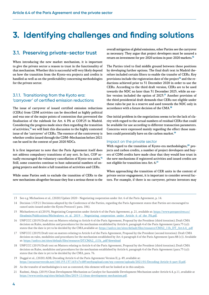## <span id="page-6-0"></span>**3. Identifying challenges and finding solutions**

### **3.1. Preserving private-sector trust**

When introducing the new market mechanism, it is important to give the private sector a reason to trust in the functionality of that mechanism. Whether this is successful will very likely depend on how the transition from the Kyoto-era projects and credits is handled as well as on the predictability concerning methodologies for the private sector.

#### 3.1.1. Transitioning from the Kyoto era: 'carryover' of certified emission reductions

The issue of carryover of issued certified emission reductions (CERs) from CDM activities can be described as highly political and was one of the major points of contention that prevented the finalisation of the rulebook for Art. 6 PA at COP.25 in Madrid. Considering the progress made since then regarding the transition of activities,**<sup>13</sup>** we will limit this discussion to the highly contested issue of the 'carryover' of CERs. The essence of the controversy is whether credits issued through the CDM–Mechanism before 2021 can be used in the context of post 2020 NDCs.

It is first important to note that the Paris Agreement itself does not address compulsory transitions of any sort. In fact, COP actually encouraged the voluntary cancellation of Kyoto-era units.**<sup>14</sup>** Still, some countries continue to host substantial numbers of ongoing projects and desire a full transition of activities and CERs.

While some Parties seek to exclude the transition of CERs to the new mechanisms altogether because they fear a serious threat to the overall mitigation of global emissions, other Parties see the carryover as necessary. They argue that project developers must be assured a return on investment for pre-2020 actions in post-2020 markets.**<sup>15</sup>**

The Parties tried to find middle ground between these positions by developing further options. The final draft text in Madrid therefore included certain filters to enable the transfer of CERs. Key provisions include the registration date of the project**16** and the reductions achieved prior to 31 December 2020 in order to use the CERs. According to the third draft version, CERs are to be used towards the NDC no later than 31 December 2025, while an earlier version included the option of 2023.**<sup>17</sup>** Another provision of the third presidential draft demands that CERs not eligible under these rules be put in a reserve and used towards the NDC only in accordance with a future decision of the CMA.**<sup>18</sup>**

One initial problem in the negotiations seems to be the lack of clarity with regard to the actual numbers of residual CERs that could be available for use according to different transaction parameters. Concerns were expressed mainly regarding the effect those numbers could potentially have on the carbon market.**<sup>19</sup>**

#### Impact on the private sector

With regard to the transition of Kyoto-era methodologies,**20** projects and carbon credits, a number of project developers and buyers of CDM credits have made clear that they would lose trust in the new mechanisms if registered activities and issued credits are not eligible for transition into Art. 6.**<sup>21</sup>**

When approaching the transition of CER units in the context of private sector engagement, it is important to consider several factors. For example, if there is no carryover, private investors may

13 See e.g. Michaelowa et al., (2020) Update 2020 - Negotiating cooperation under Art. 6 of the Paris Agreement, p. 14.

- 14 Decision 1/CP.21 Decisions adopted by the Conference of the Parties, regarding the Paris Agreement states that Parties are encouraged to cancel units issued under the Kyoto Protocol ( para. 106).
- 15 Michaelowa et al.(2019), Negotiating Cooperation under Article 6 of the Paris Agreement, p. 21, available at: [https://www.perspectives.cc/](https://www.perspectives.cc/fileadmin/Publications/Michealowa_et_al._2019_-_Negotiating_cooperation_under_Article_6_of_the_PA.pdf) [fileadmin/Publications/Michealowa\\_et\\_al.\\_2019\\_-\\_Negotiating\\_cooperation\\_under\\_Article\\_6\\_of\\_the\\_PA.pdf.](https://www.perspectives.cc/fileadmin/Publications/Michealowa_et_al._2019_-_Negotiating_cooperation_under_Article_6_of_the_PA.pdf)
- 16 UNFCCC (2019) Draft text on Matters relating to Article 6 of the Paris Agreement, Proposal by the President (third iteration); Draft CMA decision on Rules, modalities and procedures for the mechanism established by Article 6, paragraph 4 of the Paris Agreement (para.75 (a)): states that the date is yet to be decided by the CMA,available at: [https://unfccc.int/sites/default/files/resource/CMA2\\_11b\\_DT\\_Art.6.4\\_.pdf](https://unfccc.int/sites/default/files/resource/CMA2_11b_DT_Art.6.4_.pdf)
- 17 UNFCCC (2019) Draft text on matters relating to Article 6 of the Paris Agreement, Proposal by the President (second iteration): Draft CMA decision on rules, modalities and procedures for the mechanism established by Art. 6 paragraph 4 of the Paris Agreement (para 88 (c)). Available at: [https://unfccc.int/sites/default/files/resource/DT.CMA2\\_.i11b\\_.pdf?download](https://unfccc.int/sites/default/files/resource/DT.CMA2_.i11b_.pdf?download)
- 18 UNFCCC (2019) Draft text on Matters relating to Article 6 of the Paris Agreement, Proposal by the President (third iteration); Draft CMA decision on Rules, modalities and procedures for the mechanism established by Article 6, paragraph 4 of the Paris Agreement (para.75 (a)): states that the date is yet to be decided by the CMA, para. 76.
- 19 Duggal et al., (2020) ADB, Decoding Article 6 of the Paris Agreement Version II, p. 49, available at: <https://secureservercdn.net/160.153.137.163/z7r.689.myftpupload.com/wp-content/uploads/2021/01/Decoding-Article-6-part-II.pdf>.
- 20 As the transfer of methodologies is not as contested, this element will not be looked at in this analysis.
- 21 Rashmi, Ahuja, (2019) Clean Development Mechanism as Catalyst for Sustainble Development Mechanism under Article 6.4, p.11, available at <https://www.teriin.org/sites/default/files/2019-11/clean-development-mechanism.pdf>.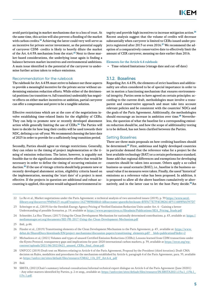avoid participating in market mechanisms due to a loss of trust. At the same time, this action will also prevent a flooding of the market with carbon credits.**<sup>22</sup>** Achieving the latter could very well serve as an incentive for private sector investment, as the potential supply of carryover CDM- credits is likely to heavily dilute the market of the Art. 6.4 PA mechanism from the start.**23** Next to these market-based considerations, the underlying issue again is finding a balance between market incentives and environmental ambitions. A main issue identified is the potential of the carryover to undermine further action taken to reduce emissions.

#### Recommendation for the rulebook

The rulebook for Art. 6.4 PA must strive to balance out these aspects to provide a meaningful incentive for the private sector without undermining emission reduction efforts. While either of the detrimental positions (no transition vs. full transition) undeniably has negative effects on either market incentives or ambition, partial carryover can offer a compromise and prove to be a tangible solution.

Effective restrictions which are at the core of the negotiations involve establishing time-related limits for the eligibility of CERs. They can help to promote new or recently developed abatement action while generally limiting the use of CERs.**<sup>24</sup>** The Parties will have to decide for how long their credits will be used towards their NDC, defining a cut-off year. We recommend choosing the later date of 2025 in order to provide for a sufficiently long transition period.

Secondly, Parties should agree on vintage restrictions. Generally, they can relate to the timing of project implementation or the timing of emission reductions. The latter, however, is arguably not feasible due to the significant administrative efforts that would be necessary in order to define the timing of occurring emission reduction.**<sup>25</sup>** If the use of vintage criteria should help promote new or recently developed abatement action, eligibility criteria based on the implementation, meaning the 'start date' of a project is most effective. If the projects in question are additional and robust accounting is applied, this option would safeguard environmental in-

tegrity and provide high incentives to increase mitigation action.**<sup>26</sup>** Recent analysis suggest that the volume of credits will decrease substantially when carryover is limited to CERs issued under projects registered after 2013 or even 2016.**27** We recommend the adoption of a comparatively conservative date to effectively limit the amount of CER carryover, meaning no date earlier than 2016.

Elements for the Article 6.4 rulebook:

• Time-related limitations (vintage date and cut-off date)

#### 3.1.2. Baselines

Regarding Art. 6.4 PA, the elements of strict baselines and additionality are often considered to be of special importance in order to set in motion a functioning mechanism that ensures environmental integrity. Parties seem to have agreed on certain principles: according to the current draft, methodologies must involve a transparent and conservative approach and must take into account relevant policies and be consistent with the countries' NDCs and the goals of the Paris Agreement. Additionally, the methodologies should encourage an increase in ambition over time.**28** Nevertheless, the question of what the baseline for a corresponding emission reduction should be, and how the scope of additionality testing is to be defined, has not been clarified between the Parties.

#### Setting Baselines

There are three main proposals on how crediting baselines should be determined.**<sup>29</sup>** First, ambitious and highly developed countries in particular demand that the reference value for a project be the best available technology (BAT) or a certain performance standard. Some add that regional differences and exemptions for developing countries should be taken into account. Others apply a so-called business-as-usual scenario (BAU), i.e., baseline is the business-asusual value if no measures were taken. Finally, the useof 'historical' emissions as a reference value has been proposed. In addition, it is proposed to allow all the above baselines cumulatively or alternatively, and in the latter case to let the host Party decide.**30**An

- 22 Lo Re et al., Market negotiations under the Paris Agreement: a technical analysis of two unresolved issues (2019), p. 39 [https://www.oecd](https://www.oecd-ilibrary.org/docserver/99d9e615-en.pdf?expires=1627989844&id=id&accname=guest&checksum=B3FA77E7F4C082614F511689F8A397D7)[ilibrary.org/docserver/99d9e615-en.pdf?expires=1627989844&id=id&accname=guest&checksum=B3FA77E7F4C082614F511689F8A397D7](https://www.oecd-ilibrary.org/docserver/99d9e615-en.pdf?expires=1627989844&id=id&accname=guest&checksum=B3FA77E7F4C082614F511689F8A397D7)
- 23 Schwieger et al., (2019) for the Swedish Energy Agency Pricing of Verified Emission Reduction Units under Art. 6 Gaining a better Understanding of possible Scenarios, p. 19, available at [https://www.perspectives.cc/fileadmin/Publications/SEA\\_Pricing\\_Study.pdf](https://www.perspectives.cc/fileadmin/Publications/SEA_Pricing_Study.pdf)
- 24 Schneider, La Hoz Theuer, (2017) Using the Clean Development Mechanism for nationally determined contributions, p. 43, available at: [https://](https://mediamanager.sei.org/documents/SEI-PR-2017-Using-the-Clean-Development-Mechanism.pdf) [mediamanager.sei.org/documents/SEI-PR-2017-Using-the-Clean-Development-Mechanism.pdf](https://mediamanager.sei.org/documents/SEI-PR-2017-Using-the-Clean-Development-Mechanism.pdf)
- 25 ibid., p.44.
- 26 Füssler et al., (2019) Transitioning elements of the Clean Development Mechanism to the Paris Agreement, p. 43, available at: [https://www.](https://www.dehst.de/SharedDocs/downloads/EN/project-mechanisms/discussion-papers/transitioning_elements.pdf?__blob=publicationFile&v=2) [dehst.de/SharedDocs/downloads/EN/project-mechanisms/discussion-papers/transitioning\\_elements.pdf?\\_\\_blob=publicationFile&v=2](https://www.dehst.de/SharedDocs/downloads/EN/project-mechanisms/discussion-papers/transitioning_elements.pdf?__blob=publicationFile&v=2)
- 27 Michaelowa et al, (2021) Volumes and types of unused Certified Emission Reductions (CERs); Lessons learned from CDM transactions under the Kyoto Protocol, transparency gaps and implications for post-2020 international carbon markets, p. 39, available at [https://ercst.org/wp](https://ercst.org/wp-content/uploads/2021/06/20210621_unused_CERs_final_clean.pdf)[content/uploads/2021/06/20210621\\_unused\\_CERs\\_final\\_clean.pdf.](https://ercst.org/wp-content/uploads/2021/06/20210621_unused_CERs_final_clean.pdf)
- 28 UNFCCC (2019) Draft text on Matters relating to Article 6 of the Paris Agreement, Proposal by the President (third iteration); Draft CMA decision on Rules, modalities and procedures for the mechanism established by Article 6, paragraph 4 of the Paris Agreement, para. 35, available at: [https://unfccc.int/sites/default/files/resource/CMA2\\_11b\\_DT\\_Art.6.4\\_.pdf](https://unfccc.int/sites/default/files/resource/CMA2_11b_DT_Art.6.4_.pdf)

<sup>29</sup> Ibid.

<sup>30</sup> SBSTA, (2021)Chair's summary informal consultations/informal technical expert dialogue on Article 6 of the Paris Agreement (June 20201) - Any other matters identified by Parties, p. 2 et seqq., available at: [https://unfcccint/sites/default/files/resource/IN.SBSTA2021.i15a.1\\_i15b.1\\_](https://unfcccint/sites/default/files/resource/IN.SBSTA2021.i15a.1_i15b.1_i15c.1.pdf) [i15c.1.pdf](https://unfcccint/sites/default/files/resource/IN.SBSTA2021.i15a.1_i15b.1_i15c.1.pdf).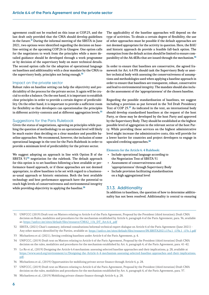agreement could not be reached on this issue at COP.25, and the last draft only provided that the CMA should develop guidelines in the future.**<sup>31</sup>** During the informal meeting of the SBSTA in June 2021, two options were identified regarding the decision on baseline-setting at the upcoming COP.26 in Glasgow. One option calls for the negotiators to work from the principles while a more detailed guidance should be developed through a work programme or by decision of the supervisory body on more technical details. The second option calls for the adoption of operational language on baselines and additionality with a clear mandate by the CMA to the supervisory body, principles not being enough.**<sup>32</sup>**

#### Impact on the private sector

Robust rules on baseline setting can help the objectivity and predictability of the process for the private sector. It again will be crucial to strike a balance. On the one hand, it is important to establish clear principles in order to provide a certain degree of predictability. On the other hand, it is important to provide a sufficient room for flexibility so that developers can operationalise the principles in different activity-contexts and at different aggregation levels.**<sup>33</sup>**

#### Suggestions for the Paris Rulebook

Given the status of negotiations, agreeing on principles while pushing the question of methodology to an operational level will likely be much easier than deciding on a clear mandate and possible baseline approaches. We recommend, however, the inclusion of some operational language in the text for the Paris Rulebook in order to provide a minimum level of predictability for the private sector.

We suggest adopting an approach in line with Option B of the SBSTA 51**<sup>34</sup>** negotiation for the rulebook. The default approach for this option is to set baselines following a best available or performance-based approach, or if these approaches are not deemed appropriate, to allow baselines to be set with regard to a businessas-usual approach or historic emissions. Both the best available technology and best performance approach have the potential to reach high levels of conservativeness and environmental integrity while providing objectivity in applying the baseline.**<sup>35</sup>**

The applicability of the baseline approaches will depend on the type of activities. To obtain a certain degree of flexibility, the use of other approaches must be possible if the default approaches are not deemed appropriate for the activity in question. Here, the BAU and historic approach do provide a feasible fall-back option. The exemption from the default action should be limited to ensure comparability of the A6.4ERs that are issued through the mechanism.**<sup>36</sup>**

In order to ensure that baselines are conservative, the agreed framework for Art. 6.4 PA should task the Supervisory Body or another technical body with assessing the conservativeness of assumptions and methodologies used when applying a baseline approach in order to ensure that baselines are transparent, robust, conservative and lead to environmental integrity. The mandate should also include the assessment of the 'appropriateness' of the chosen baseline.

Regarding the possible standardisation of baselines, we suggest including a provision as put forward in the 3rd Draft Presidency Text of COP 25.**<sup>37</sup>** As indicated in the text, an international body should develop standardised baselines at the request of the host Party, or these may be developed by the host Party and approved by the Supervisory Body. They should be established at the highest possible level of aggregation in the relevant sector of the host Party. While providing these services on the highest administrative level might increase the administrative costs, this will provide for a lower barrier for countries and project developers to engage in upscaled crediting approaches.**<sup>38</sup>**

#### Elements for the Article 6. 4 Rulebook:

- Include operational language according to the Negotiation Text of SBSTA 51
- Assessment of conservativeness and 'appropriateness' through Supervisory Body
- Include provision facilitating standardisation on a high aggregational level

#### 3.1.3. Additionality

In addition to baselines, the question of how to determine additionality has not been resolved. Additionality is central to ensuring

- 31 UNFCCC (2019) Draft text on Matters relating to Article 6 of the Paris Agreement, Proposal by the President (third iteration); Draft CMA decision on Rules, modalities and procedures for the mechanism established by Article 6, paragraph 4 of the Paris Agreement, para. 36, available at: [https://unfccc.int/sites/default/files/resource/CMA2\\_11b\\_DT\\_Art.6.4\\_.pdf](https://unfccc.int/sites/default/files/resource/CMA2_11b_DT_Art.6.4_.pdf)
- 32 SBSTA, (2021) Chair's summary, informal consultations/informal technical expert dialogue on Article 6 of the Paris Agreement (June 2021) Any other matters identified by the Parties, available at: [https://unfccc.int/sites/default/files/resource/IN.SBSTA2021.i15a.1\\_i15b.1\\_i15c.1.pdf](https://unfccc.int/sites/default/files/resource/IN.SBSTA2021.i15a.1_i15b.1_i15c.1.pdf)
- 33 Michaelowa et al. (2021), Setting crediting baselines under Article 6 of the Paris Agreement, p. 4.
- 34 UNFCCC, (2019) Draft text on Matters relating to Article 6 of the Paris Agreement, Proposal by the President (third iteration) Draft CMA decision on the rules, modalities and procedures for the mechanism established by Art. 6, paragraph 4, of the Paris Agreement, para. 41-42.
- 35 Lo Re et al., (2019) Designing the Article 6.4 mechanism: assessing selected baseline approaches and their implications, p. 28, available at [https://www.oecd.org/environment/cc/Designing-the-Article-6-4-mechanism-assessing-selected-baseline-approaches-and-their-implications.](https://www.oecd.org/environment/cc/Designing-the-Article-6-4-mechanism-assessing-selected-baseline-approaches-and-their-implications.pdf) [pdf](https://www.oecd.org/environment/cc/Designing-the-Article-6-4-mechanism-assessing-selected-baseline-approaches-and-their-implications.pdf).
- 36 Michaelowa et al., (2019) Opportunities for mobilizing private sector finance through Article 6, p. 28.
- 37 UNFCCC, (2019) Draft text on Matters relating to Article 6 of the Paris Agreement, Proposal by the President (third iteration) Draft CMA decision on the rules, modalities and procedures for the mechanism established by Art. 6, paragraph 4, of the Paris Agreement, para. 37.
- 38 Michaelowa et al., (2019) Mobilizing private climate finance through Article 6, p. 28.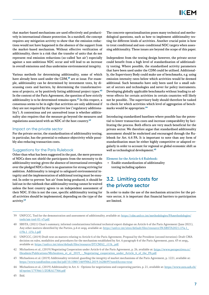<span id="page-9-0"></span>that market-based mechanisms are used effectively and productively in international climate protection. In a nutshell, the concept requires any mitigation activity to show that the emission reductions would not have happened in the absence of the support from the market-based mechanism. Without effective verification of additionality, there is a risk that the transfer of units that do not represent real emission reductions (so-called 'hot air') especially against a non-ambitious NDC occur and will lead to an increase in overall emissions and thus undermine environmental integrity.

Various methods for determining additionality, some of which have already been used under the CDM,**39** are at issue. For example, additionality can be determined by investment tests, by discussing costs and barriers, by determining the transformativeness of projects, or by positively listing additional project types.**<sup>40</sup>** In the context of the Paris Agreement, the question of how strictly additionality is to be determined remains open.**<sup>41</sup>** In this respect, a consensus seems to be in sight that activities are only additional if they are not required by the respective law ('regulatory additionality'). A contentious and yet unresolved issue is whether additionality also requires that the measure go beyond the measures and regulations associated with an NDC of the host country.**<sup>42</sup>**

#### Impact on the private sector

For the private sector, the standardisation of additionality testing, in particular, has the potential to enhance objectivity while possibly also reducing transaction costs.

#### Suggestions for the Paris Rulebook

Other than what has been suggested in the past, the mere presence of NDCs does not shield the participants from the necessity to do additionality testing: given the absence of international oversights over the pledged NDCs there is no guarantee for strong striving for ambition. Additionality is integral to safeguard environmental integrity and the implementation of additional testing must be ensured. In order to prevent 'hot air' from being produced, it should be laid out in the rulebook that additionality testing cannot be waived unless the host country agrees to an independent assessment of their NDC. If this is not the case, specific additionality testing for all activities should be implemented, depending on the type of the activity.**<sup>43</sup>**

The concrete operationalisation poses many technical and methodological questions, such as how to implement additionality testing for different kinds of activities. Another crucial point is how to treat conditional and non-conditional NDC targets when assessing additionality. These issues are beyond the scope of this paper.

Independent from the testing design however, the private sector could benefit from a high level of standardisation of additionality testing. Where possible, the standardised activity parameters that have been used under the CDM could be utilised. Additionally, the Supervisory Body could make use of benchmarks, e.g. using emission intensity rates below which activities would be deemed additional. Such benmarks have only been used for a small subset of sectors and technologies and never for policy instruments. Developing globally applicable benchmarks without leading to adverse effects for certain activities in certain countries will likely not be possible.. The supervisory body should therefore be tasked to check for which activities which level of aggregation of benchmarks would be appropriate.**<sup>44</sup>**

Introducing standardised baselines where possible has the potential to lower transaction costs and increase comparability by facilitating the process. Both effects are very much beneficial for the private sector. We therefore argue that standardised additionality assessment should be enshrined and encouraged through the Rulebook for Art. 6.4 PA. It is important to note than any form of standardisation must be either highly competitive or adapted regularly in order to account for regional or global economic shift as well as technological development.**<sup>45</sup>**

#### Element for the Article 6.4 Rulebook:

• Enable standardization of additionality testing including updates

### **3.2. Limiting costs for the private sector**

In order to make the use of the mechanism attractive for the private sector, it is important that financial barriers to participation are limited.

- 39 UNFCCC, Tool for the demonstration and assessment of additionality, available at: [https://cdm.unfccc.int/methodologies/PAmethodologies/](https://cdm.unfccc.int/methodologies/PAmethodologies/tools/am-tool-01-v3.pdf) [tools/am-tool-01-v3.pdf.](https://cdm.unfccc.int/methodologies/PAmethodologies/tools/am-tool-01-v3.pdf)
- 40 SBSTA, (2021) Chair's summary, informal conslutantions/informal technical expert dialogue on Article 6 of the Paris Agreement (June 2021), Any other matters identified by the Parties, p.4 et seqq. available at: [https://unfccc.int/sites/default/files/resource/IN.SBSTA2021.i15a.1\\_](https://unfccc.int/sites/default/files/resource/IN.SBSTA2021.i15a.1_i15b.1_i15c.1.pdf) [i15b.1\\_i15c.1.pdf](https://unfccc.int/sites/default/files/resource/IN.SBSTA2021.i15a.1_i15b.1_i15c.1.pdf)
- 41 UNFCCC, (2019) Draft text on matters relating to Article 6 of the Paris Agreement, Proposal by the President (second iteration): Draft CMA decision on rules, modalities and procedures for the mechanism established by Art. 6 paragraph 4 of the Paris Agreement, para. 43 et seqq., available at: [https://unfccc.int/sites/default/files/resource/DT.CMA2\\_.i11b\\_.pdf.](https://unfccc.int/sites/default/files/resource/DT.CMA2_.i11b_.pdf)
- 42 Michaelowa et al., (2019) Negotiating Cooperation under Article 6 of the Paris Agreement, p. 26, available at: [https://www.perspectives.cc/](https://www.perspectives.cc/fileadmin/Publications/Michealowa_et_al._2019_-_Negotiating_cooperation_under_Article_6_of_the_PA.pdf) fileadmin/Publications/Michealowa\_et\_al. 2019\_-\_Negotiating\_cooperation\_under\_Article\_6\_of\_the\_PA.pdf.
- 43 Michaelowa et al. (2019) Additionality revisited: guarding the integrity of market mechanisms of the Paris Agreement, p. 1221, available at: <https://www.tandfonline.com/doi/pdf/10.1080/14693062.2019.1628695?needAccess=true>
- 44 Michaelowa et al., (2019) Additionality in Art. 6 Options for negotiations and cooperating parties, p. 21, available at: [https://www.zora.uzh.ch/](https://www.zora.uzh.ch/id/eprint/175366/1/ZORA17366.pdf) [id/eprint/175366/1/ZORA17366.pdf](https://www.zora.uzh.ch/id/eprint/175366/1/ZORA17366.pdf)

<sup>45</sup> Ibid.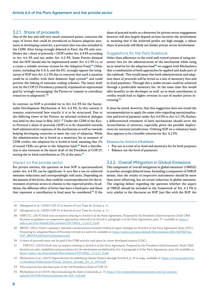#### 3.2.1. Share of proceeds

One of the key and still very much contested points, concerns the topic of levies that could be introduced to finance adaption measures in developing countries, a provision that was also included in the CDM. After being strongly debated in Paris, the PA only establishes the « share of proceeds » (SOP) under Art. 6.4 PA according to Art. 6.6 PA and not under Art. 6.2 PA. Some Parties demand that the SOP should also be implemented under Art. 6.2 PA i.a. to a create a reliable revenue stream for the Adaption Fund.**<sup>46</sup>** Other states, including the U.S.A. and the EU, strongly oppose the integration of SOP into Art. 6.2 PA due to concerns that such a taxation could be in conflict with their domestic legal system<sup>47</sup> and could prevent the linking of emission trading schemes. The latest draft text by the COP.25 Presidency primarily stipulated an aspirational goal by 'strongly encouraging' the Parties to 'commit to contribute resources to adaptation'.**<sup>48</sup>**

In contrast, an SOP is provided for in Art. 6.6 PA for the Sustainable Development Mechanism of Art. 6.4 PA. In this context it remains controversial how exactly it is to be structured. Due to the differing views of the Parties, an informal technical dialogue was held on this issue in May 2021.**49** Under the CDM of the Kyoto Protocol a share of proceeds (SOP) is to be channeled towards both administrative expenses of the mechanism as well as towards helping developing countries to meet the cost of adaption. While the administration fee is levied as a monetary fee at issuance of CDM credits, the adaption fee is levied in kind, meaning that 2% of issued CERs are given to the Adaption fund.**50** Such a distribution is also foreseen in the latest draft of the President of COP.25, setting the in-kind contribution at 2% of the units.**<sup>51</sup>**

#### Impact on the private sector

For private entities, the question on how SOP is operationalized under Art. 6.4 PA can be significant. It acts like a tax on achieved emission reductions and correspondingly sold units. Depending on the amount of the levies, they could be counterproductive for the investment of private actors in relation to the expected profits. In addition, the different effect of levies that have a fixed price and those that represent a contribution in kind must be considered.**<sup>52</sup>** If the share of proceed works as a deterrent for private sector engagement however will also largely depend on how lucrative the involvement is, meaning that if the achieved profits are high enough, a robust share of proceeds will likely not hinder private sector involvement.

#### Suggestions for the Paris Rulebook

Other than adherence to the tried-and-tested system of using monetary fees for the administration of the mechanism while using an in-kind fee for the adaption fund**<sup>53</sup>** we suggest with Michaelowa that a combination of both approaches be applied and made part of the rulebook. This would mean that both administration and adaption share of proceeds will be levied as a mix of monetary fees and in-kind payments. Through this a stable income could be achieved through a predictable monetary fee. At the same time this would offer benefits to the developer as well: an in-kind contribution in credits would lead to higher revenue in case of market prices increasing.**<sup>54</sup>**

It must be noted, however, that this suggestion does not entail the recommendation to apply the same rules regarding operationalisation and level of payment under Art. 6.4 PA to Art. 6.2. PA. Rather, a differentiated treatment of both mechanisms should serve the reconciliation of interests, especially given the possible implications for national jurisdictions. Utilising SOP on a voluntary basis thus appears to be a feasible solution for Art. 6.2 PA.

#### Elements for Article 6.4 Rulebook:

- Pay out as a mix of in-kind and monetary fee for both purposes
- Balance out the level of payments

#### 3.2.2. Overall Mitigation in Global Emissions

The component of 'overall mitigation in global emissions' (OMGE) is another strongly debated issue. Including a component of OMGE means, that the results of respective instruments should be more than mere offsetting, but an actual reduction in global emissions. The ongoing debate regarding the question whether the aspect of OMGE should be included in the framework of Art. 6.2 PA is very similar to the discourse on SOP. Just like with the SOP, the

- 46 Obergassel et al., (2020) COP 25 in Search of Lost Time for Action, p. 11.
- 47 Obergassel et al., (2020) COP 25 in Search of Lost Time for Action, p. 11.
- 48 UNFCCC, (2019) Draft text on matters relating to Article 6 of the Paris Agreement, Proposal by the President (third iteration): Draft CMA decision on guidance on cooperative approaches referred to in Article 6, paragraph 2 of the Paris Agreement, para. 37, available at: [https://](https://unfccc.int/sites/default/files/resource/DT.CMA2_.i11a.v3_0.pdf) [unfccc.int/sites/default/files/resource/DT.CMA2\\_.i11a.v3\\_0.pdf.](https://unfccc.int/sites/default/files/resource/DT.CMA2_.i11a.v3_0.pdf)
- 49 SBSTA, (2021) Chair's summary, informal conslutantions/informal technical expert dialogue on Article 6 of the Paris Agreement (June 2021), Financing for adaption/Share of Proceeds (Article 6.2 and 6.4), available at: https://unfccc.int/sites/default/files/resource/2021A6ITED1on [SOP\\_SBSTA%20Chair%20summary.pdf](https://unfccc.int/sites/default/files/resource/2021A6ITED1on_SOP_SBSTA%20Chair%20summary.pdf).
- 50 A share of proceeds must not be paid if the CDM activity took place in a least developed country (LDC).
- 51 UNFCCC, (2019) Draft text on matters relating to Article 6 of the Paris Agreement, Proposal by the President (third iteration): Draft CMA decision on rules, modalities and procedures for the mechanism established by Art. 6 paragraph 4 of the Paris Agreement, para. 64, available at: [https://unfccc.int/sites/default/files/resource/DT.CMA2\\_.i11a.v3\\_0.pdf](https://unfccc.int/sites/default/files/resource/DT.CMA2_.i11a.v3_0.pdf).
- 52 Michaelowa et al., (2019) Opportunities for mobilizing climate finance through Article 6, p. 29 et seqq., available at: [https://www.perspectives.](https://www.perspectives.cc/fileadmin/Publications/Private_finance_through_Art._6_2019.pdf) cc/fileadmin/Publications/Private\_finance\_through\_Art. 6\_2019.pdf.
- 53 This structure has also been part of the 3rd Presidency Draft of COP 25:
- 54 Michaelowa et al (2019), Operationalizing the share of proceeds, p. 13, [https://www.climatefinanceinnovators.com/wp-content/](https://www.climatefinanceinnovators.com/wp-content/uploads/2019/06/Operationalizing-the-SoP_web.pdf) [uploads/2019/06/Operationalizing-the-SoP\\_web.pdf.](https://www.climatefinanceinnovators.com/wp-content/uploads/2019/06/Operationalizing-the-SoP_web.pdf)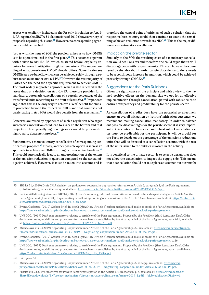aspect was explicitly included in the PA only in relation to Art. 6. 4. PA. Again, the SBSTA 51 elaborations of 2019 shows a variety of proposals regarding this issue.**55** However, no corresponding agreement could be reached.

Just as with the issue of SOP, the problem arises as to how OMGE is to be operationalized in the first place.**<sup>56</sup>** This becomes apparent with a view to Art. 6.4 PA, which as stated before, explicitly requires for overall mitigation in global emissions. The understanding of what constitutes OMGE already differs. Some Parties see OMGEs as a co-benefit, which can be achieved solely through a robust mechanism under Art. 6.4 PA.**<sup>57</sup>** However, the vast majority of Parties see the need for a specific requirement to achieve OMGE. The most widely supported approach, which is also reflected in the latest draft of a decision on Art. 6.4 PA, therefore provides for a mandatory, automatic cancellations of a certain percentage of the transferred units (according to the draft at least 2%).**<sup>58</sup>** Proponents argue that this is the only way to achieve a 'real' benefit for climate protection beyond the respective NDCs and that countries not participating in Art. 6 PA would also benefit from the mechanism.**<sup>59</sup>**

Concerns are raised by opponents of such a regulation who argue automatic cancellation could lead to a race to the bottom and that projects with supposedly high savings rates would be preferred to high-quality abatement projects.**<sup>60</sup>**

Furthermore, a mere voluntary cancellation of corresponding certificates is proposed.**<sup>61</sup>** Finally, another possible option is seen as an approach to achieve an OMGE through conservative baselines.**<sup>62</sup>** This could automatically lead to an underestimation of the extent of the emission reduction in question compared to the actual mitigation achieved. However, it must be taken into account and is

therefore the central point of criticism of such a solution that the respective host country could then continue to count the remaining achieved reduction towards its NDC.**63** This is the major difference to automatic cancellation.

#### Impact on the private sector

Similarly to the SOP, the resulting costs of a mandatory cancellation would act like a tax and therefore one could argue that it willl discourage trade with respective units. This can however be countered by the idea that in order to stimulate demand, there needs to be a continuous increase in ambition, which could be achieved precisely through OMGEs.**<sup>64</sup>**

#### Suggestions for the Paris Rulebook

Given the significance of the principle and with a view to the named positive effects on the demand side we opt for an effective implementation through cancellation, paired with robust rules to ensure transparency and predictability for the private sector.

As cancellation of credits does have the potential to effectively ensure an overall mitigation by 'retiring' mitigation outcomes, we recommend making cancellation mandatory. In order to balance out possible disadvantages for the private sector, it is very important in this context to have clear and robust rules. Cancellation rates must be predictable for the participant. It will be crucial for the Party to decide on the percentage of the emissions reductions units that will be directed to a cancellation account, with the rest of the units issued to the entities involved in the activity.

It is beneficial to the private sector, is to select a design that does not allow the cancellation to impact the supply side. This means that a cancellation should not take place at issuance but at transfer

- 55 SBSTA 51, (2019) Draft CMA decision on guidance on cooperative approaches referred to in Article 6, paragraph 2, of the Paris Agreement (third iteration), para.s 52 et seqq., available at:<https://unfccc.int/sites/default/files/resource/DT.SBSTA51.i12a.3.pdf>
- 56 For the still differing views see: SBSTA, (2021) Chair's summary, informal consultations/informal technical expert dialogue on Article 6 of the Paris Agreement (June 2021), Implementing overall mitigation in global emissions in the Article 6.4 mechanism, available at: [https://unfccc.int/](https://unfccc.int/sites/default/files/resource/IN.SBSTA2021.i15b.2.pdf) [sites/default/files/resource/IN.SBSTA2021.i15b.2.pdf](https://unfccc.int/sites/default/files/resource/IN.SBSTA2021.i15b.2.pdf).
- 57 Evans, Gabbatiss, (2019) Carbon Brief, In-depth Q&A: How 'Article 6' carbon markets could 'make or break' the Paris Agreement, available at: <https://www.carbonbrief.org/in-depth-q-and-a-how-article-6-carbon-markets-could-make-or-break-the-paris-agreement>.
- 58 UNFCCC, (2019) Draft text on matters relating to Article 6 of the Paris Agreement, Proposal by the President (third iteration): Draft CMA decision on rules, modalities and procedures for the mechanism established by Art. 6 paragraph 4 of the Paris Agreement, para. 67 b, available at: [https://unfccc.int/sites/default/files/resource/DT.CMA2\\_.i11a.v3\\_0.pdf](https://unfccc.int/sites/default/files/resource/DT.CMA2_.i11a.v3_0.pdf).
- 59 Michaelowa et al., (2019) Negotiating Cooperation under Article 6 of the Paris Agreement, p. 22, available at: [https://www.perspectives.cc/](https://www.perspectives.cc/fileadmin/Publications/Michealowa_et_al._2019_-_Negotiating_cooperation_under_Article_6_of_the_PA.pdf) [fileadmin/Publications/Michealowa\\_et\\_al.\\_2019\\_-\\_Negotiating\\_cooperation\\_under\\_Article\\_6\\_of\\_the\\_PA.pdf.](https://www.perspectives.cc/fileadmin/Publications/Michealowa_et_al._2019_-_Negotiating_cooperation_under_Article_6_of_the_PA.pdf)
- 60 Evans, Gabbatiss, (2019) Carbon Brief, In-depth Q&A: How 'Article 6' carbon markets could 'make or break' the Paris Agreement, available at: <https://www.carbonbrief.org/in-depth-q-and-a-how-article-6-carbon-markets-could-make-or-break-the-paris-agreement>, p. 26.
- 61 UNFCCC, (2019) Draft text on matters relating to Article 6 of the Paris Agreement, Proposal by the President (first iteration): Draft CMA decision on rules, modalities and procedures for the mechanism established by Art. 6 paragraph 4 of the Paris Agreement, para. ., available at: [https://unfccc.int/sites/default/files/resource/DT.CMA2\\_.i11b\\_13Dec.pdf](https://unfccc.int/sites/default/files/resource/DT.CMA2_.i11b_13Dec.pdf).

63 Michaelowa et al., (2019) Negotiating Cooperation under Article 6 of the Paris Agreement, p. 22 et seqq., available at: [https://www.](https://www.perspectives.cc/fileadmin/Publications/Michealowa_et_al._2019_-_Negotiating_cooperation_under_Article_6_of_the_PA.pdf) [perspectives.cc/fileadmin/Publications/Michealowa\\_et\\_al.\\_2019\\_-\\_Negotiating\\_cooperation\\_under\\_Article\\_6\\_of\\_the\\_PA.pdf](https://www.perspectives.cc/fileadmin/Publications/Michealowa_et_al._2019_-_Negotiating_cooperation_under_Article_6_of_the_PA.pdf).

<sup>62</sup> Ibid., para. 81.

<sup>64</sup> Füssler et al., (2019) Incentives for Private Sector Participation in the Article 6.4 Mechanism, p. 8, available at: [https://www.dehst.de/](https://www.dehst.de/SharedDocs/downloads/EN/project-mechanisms/discussion-papers/climate-conference-2019_1.pdf?__blob=publicationFile&v=4) [SharedDocs/downloads/EN/project-mechanisms/discussion-papers/climate-conference-2019\\_1.pdf?\\_\\_blob=publicationFile&v=4](https://www.dehst.de/SharedDocs/downloads/EN/project-mechanisms/discussion-papers/climate-conference-2019_1.pdf?__blob=publicationFile&v=4).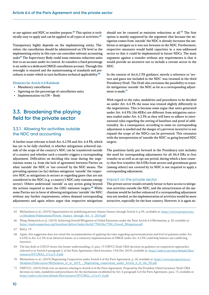<span id="page-12-0"></span>or use against and NDC or another purpose.**65** This option is technically easy to apply and can be applied to all types of activities.**<sup>66</sup>**

Transparency highly depends on the implementing entity. Therefore, the cancellation should be administered on UN level as the implementing entity in this case can centralise relevant accounting tasks**<sup>67</sup>** The Supervisory Body could issue emission reduction units first to an account under its control. At transfers a fixed percentage is set aside to a dedicated OMGE cancellation account. Through this oversight is ensured and the mainstreaming of standards and procedures is easier which in turn facilitates technical applicability.**<sup>68</sup>**

#### Elements for Article 6.4 Rulebook

- Mandatory cancellation
- Agreeing on the percentage of cancellation units
- Implementation via UN Body

## **3.3. Broadening the playing field for the private sector**

#### 3.3.1. Allowing for activities outside the NDC and accounting

A further issue relevant to both Art. 6.2 PA and Art. 6.4 PA, which has yet to be fully clarified, is whether mitigations achieved outside of the scope of the country's NDC can be transferred outside of a country and whether such a transfer triggers a corresponding adjustment. Difficulties on deciding this issue during the negotiations stems i.a. from the lack of agreement between Parties on what 'outside' the NDC or 'not covered' by the NDC means. The prevailing opinion (so far) defines mitigation 'outside' the respective NDC as mitigations in sectors or regarding gases that are not considered in the NDC (e.g. a country's NDC only contains energy sector). Others understand 'outside' as any action going beyond the actions required to meet the GHG emission targets.**<sup>69</sup>** While some Parties are in favor of allowing mitigations 'outside' the NDC without any further requirements, others demand corresponding adjustments and again others argue that respective mitigations

should not be counted as emission reductions at all.**<sup>70</sup>** The first option is mainly supported by the argument that because the mitigation comes from 'outside' the NDC it already increases the ambition to mitigate as it was not foreseen in the NDC. Furthermore, respective measures would build capacities in a non-addressed sector so that it could be implemented in future NDCs. The main argument against a transfer without any requirements is that it would provide an incentive not to include a certain sector in the NDC.

In the context of Art.6.2 PA guidance, merely a reference to 'sectors and gases not included in the NDC' was retained in the third Presidency Draft. The Draft also envisions the possibility to transfer mitigations 'outside' the NDC as far as a corresponding adjustment is made.**<sup>71</sup>**

With regard to the rules, modalities and procedures to be decided on under Art. 6.4 PA the issue was treated slightly differently in the negotiations. This is because some argue that units generated under Art. 6.4 PA (A6.4ERs) are different from mitigation outcomes traded under Art. 6.2 PA as they will have to adhere to international rules regarding the setting of baselines and proof of additionality. As a consequence, according to some no corresponding adjustment is needed and the danger of a perverse incentive to not expand the scope of the NDCs can be prevented. This resonates with the interpretation of 'outside the NDC' as going beyond NDC targets.

The positions lastly put forward in the Presidency text includes the need for corresponding adjustments for all A6.4 ERs at first transfer as as well as an opt out period, during which a host country that first transfers A6.4 ERs from sectors and greenhouse gases (among others) not covered by its NDC is not required to apply a corresponding adjustment.

#### Impact on the private sector

The private sector would certainly favour to have access to mitigation activities outside the NDC, and the attractiveness of the mechanism would be further enhanced if a corresponding adjustment was not needed, as the implementation of activities would be more attractive, especially for the host country. However, it is again ne-

- 65 Michaelowa et al., (2019) Opportunities for mobilizing private climate finance through Article 6, p.30., available at: [https://www.perspectives.](https://www.perspectives.cc/fileadmin/Publications/Private_finance_through_Art._6_2019.pdf) cc/fileadmin/Publications/Private\_finance\_through\_Art. 6\_2019.pdf
- 66 Wang-Helmreich et al., (2019) Achieving Overall Mitigation of Global Emissions under the Paris Article 6.4 Mechanism, p. 20, available at: [https://epub.wupperinst.org/frontdoor/deliver/index/docId/7394/file/7394\\_Overall\\_Mitigation.pdf](https://epub.wupperinst.org/frontdoor/deliver/index/docId/7394/file/7394_Overall_Mitigation.pdf).

- 68 Again, this suggestion does not entail the recommendation of applying the rules regarding operationalization and level of payment under Art. 6.4 PA to Art. 6.2. PA in an identical manor, as a voluntary implementation of OMGE under Art. 6.2 PA could help balance out conflicting interests.
- 69 The last draft at COP.25 favors the former understanding, cf. para. 15 UNFCC Draft CMA decision on guidance on cooperative approaches referred to in Article 6 paragraph 2, of the Paris Agreement (third iteration, 15th Dec 2019), available at: [https://unfccc.int/sites/default/files/](https://unfccc.int/sites/default/files/resource/DT.CMA2_.i11a.v3_0.pdf) [resource/DT.CMA2\\_.i11a.v3\\_0.pdf.](https://unfccc.int/sites/default/files/resource/DT.CMA2_.i11a.v3_0.pdf)
- 70 Michaelowa et al., (2019) Negotiating Cooperation under Article 6 of the Paris Agreement, p. 18, available at: [https://www.perspectives.cc/](https://www.perspectives.cc/fileadmin/Publications/Michealowa_et_al._2019_-_Negotiating_cooperation_under_Article_6_of_the_PA.pdf) fileadmin/Publications/Michealowa\_et\_al. 2019 - Negotiating\_cooperation\_under\_Article\_6\_of\_the\_PA.pdf.
- 71 UNFCCC, (2019) Draft text on matters relating to Article 6 of the Paris Agreement, Proposal by the President (third iteration): Draft CMA decision on rules, modalities and procedures for the mechanism established by Art. 6 paragraph 4 of the Paris Agreement, para. 15, available at: [https://unfccc.int/sites/default/files/resource/DT.CMA2\\_.i11a.v3\\_0.pdf](https://unfccc.int/sites/default/files/resource/DT.CMA2_.i11a.v3_0.pdf).

<sup>67</sup> Ibid p. 19.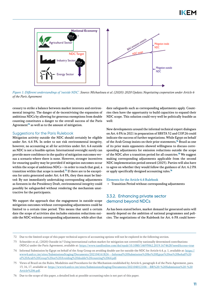

Figure 1: Different understandings of 'outside NDC'. Source: Michaelowa et al. (2020): 2020 Update; Negotiating cooperation under Article 6 of the Paris Agreement

cessary to strike a balance between market interests and environmental integrity. The danger of de-incentivising the expansion of ambitious NDCs by allowing for generous exemptions from double counting constitutes a danger to the overall success of the Paris Agreement**<sup>72</sup>** as well as to the amount of mitigation.

#### Suggestions for the Paris Rulebook

Mitigation activity outside the NDC should certainly be eligible under Art. 6.4 PA. In order to not risk environmental integrity, however, no accounting at all for activities under Art. 6.4 outside an NDC is not a feasible option: International oversight surely can provide more confidence in the quality of mitigation outcomes versus a scenario where there is none. However, stronger incentives for ensuring quality may be provided if mitigation outcomes occur within the scope of ambitious NDCs – in order to reach that goal, a transition within that scope is needed.**73** If there are to be exceptions for units generated under Art. 6.4 PA, they then must be limited: By not immediately undertaking corresponding adjustments as foreseen in the Presidency Draft, environmental integrity could possibly be safeguarded without rendering the mechanism unattractive for the participants.

We support the approach that the engagement in outside-scope mitigation outcomes without corresponding adjustments could be limited to a certain time period. This means that until a certain date the scope of activities also includes emission reductions outside the NDC without corresponding adjustments, while after that

date safeguards such as corresponding adjustments apply. Countries then have the opportunity to build capacities to expand their NDC scope. This solution could very well be politically feasible as well:

New developments around the informal technical expert dialogues on Art. 6 PA in 2021 in preparation of SBSTA 52 and COP.26 could indicate the success of further negotiations. While Egypt on behalf of the Arab Group insists on their prior statements,**<sup>74</sup>** Brazil as one of its prior main opponents showed willingness to discuss corresponding adjustments for emission reductions outside the scope of the NDC after a transition period for all countries.**<sup>75</sup>** We suggest making corresponding adjustments applicable from the second NDC implementation period onward (2025). Parties will also have to agree on whether they would follow the guidance of Art. 6.2 PA or apply specifically designed accounting rules.**<sup>76</sup>**

#### Elements for the Article 6.4 Rulebook

• Transition Period without corresponding adjustments

#### 3.3.2. Enhancing private sector demand beyond NDCs

As has been stated before, market demand for generated units will mostly depend on the ambition of national programmes and policies. The negotiations of the Rulebook for Art. 6 PA could howe-

<sup>72</sup> Due to the limited scope of this paper technical aspects of accounting options will not be explored in the following section.

<sup>73</sup> Schneider et al., (2020) Outside in? Using international carbon market for mitigation not covered by nationally determined contributions (NDCs) under the Paris Agreement, available at:<https://www.tandfonline.com/doi/epub/10.1080/14693062.2019.1674628?needAccess=true>

<sup>74</sup> Informal Submission by Egypt on behalf of the Arap Group on avoiding double use for outside the NDC for Article 6.4, p. 1, available at: [https://](https://www4.unfccc.int/sites/SubmissionsStaging/Documents/202104161824---Informal%20Submission%20by%20Egypt%20on%20behalf%20of%20Arab%20Group%20on%20Avoiding%20double%20counting%2064.pdf) [www4.unfccc.int/sites/SubmissionsStaging/Documents/202104161824---Informal%20Submission%20by%20Egypt%20on%20behalf%20](https://www4.unfccc.int/sites/SubmissionsStaging/Documents/202104161824---Informal%20Submission%20by%20Egypt%20on%20behalf%20of%20Arab%20Group%20on%20Avoiding%20double%20counting%2064.pdf) [of%20Arab%20Group%20on%20Avoiding%20double%20counting%2064.pdf](https://www4.unfccc.int/sites/SubmissionsStaging/Documents/202104161824---Informal%20Submission%20by%20Egypt%20on%20behalf%20of%20Arab%20Group%20on%20Avoiding%20double%20counting%2064.pdf).

<sup>75</sup> Views of Brazil on the Rules, Modalities and Procedures for the Mechanism established by Article 6, paragraph 4 of the Paris Agreement, para. 13, 16, 17, available at: [https://www4.unfccc.int/sites/SubmissionsStaging/Documents/202104012104---BR%20-%20Submission%20-%20](https://www4.unfccc.int/sites/SubmissionsStaging/Documents/202104012104---BR%20-%20Submission%20-%20Article%206.pdf) [Article%206.pdf.](https://www4.unfccc.int/sites/SubmissionsStaging/Documents/202104012104---BR%20-%20Submission%20-%20Article%206.pdf)

<sup>76</sup> Due to the scope of this paper, a detailed look at possible accounting rules is not part of this paper.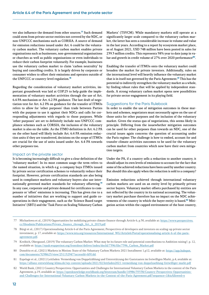ver also influence the demand from other sources.**<sup>77</sup>** Such demand could stem from private sector entities not covered by the NDC, or non-UNFCCC mechanisms such as CORSIA. A source of demand for emission reductions issued under Art. 6 could be the voluntary carbon market. The voluntary carbon market enables private organisations such as businesses, non-governmental organisations or churches as well as public organisations or even individuals to reduce their carbon footprint voluntarily. For example, businesses use the voluntary carbon market to claim 'carbon neutrality' by buying and cancelling credits. It is largely driven by corporate or consumer wishes to offset their emissions and operates outside of the UNFCCC or country-level regulation.**<sup>78</sup>**

Regarding the consideration of voluntary market activities, important groundwork was laid at COP.25 to help guide the implementation of voluntary market activities through the use of Art. 6.4 PA mechanism or Art. 6.2 PA guidance. The last draft of negotiation text for Art. 6.2 PA on guidance for the transfer of ITMOs refers to allow for 'other purposes' than trade between Parties with the purpose to use it against their NDCs and calls for corresponding adjustments with regards to those purposes. While 'other purposes' are set to definitely include non-UNFCCC compliance schemes such as CORSIA, the inclusion of the voluntary market is also on the table. As the ITMO definition in Art. 6.2 PA on the other hand will likely include Art. 6.4 PA emission reduction units if they are transferred, decisions on the scope of ITMOs are crucial for the use of units issued under Art. 6.4 PA towards other purposes too.

#### Impact on the private sector

It is becoming increasingly difficult to give a clear definition of the 'voluntary market': In its most common usage the term refers to the named situation, in which e.g. a company buys ITMOs issued by private sector certification schemes to voluntarily reduce their footprint. However, private certification standards are also being used in compliance markets and voluntary buyers also use internationally governed market standards for voluntary offsetting.**<sup>79</sup>** In any case, corporate and private demand for certificates to compensate or 'offset' emissions is increasing. This has given rise to a number of initiatives that are working to support and guide cooperations in their engagement, such as the 'Science Based target Initiative' (SBTi) and the 'Task Force on Scaling Voluntary Carbon

Markets' (TSVCM). While mandatory markets still operate at a significantly larger scale compared to the voluntary carbon market, the latter has seen a considerable increase in volume and value in the last years. According to a report by ecosystem market place, as of August 2021, USD 748 million have been posted in sales for 239.3 million credits. This represents 58% year to date jump in value and growth in credit volume of 27% over 2020 performance**<sup>80</sup>**.

Enabling the transfer of ITMOs onto the voluntary market could broaden the market for private investors. Additionally, rules on the international level will heavily influence the voluntary market that is in itself not governed by the Paris Agreement.**<sup>81</sup>** This has the potential to indirectly strengthen the voluntary market as a whole, by finding robust rules that will be applied by independent standards. A strong voluntary carbon market opens new possibilities for private sector engagement in its playing field.

#### Suggestions for the Paris Rulebook

In order to enable the use of mitigation outcomes in these markets and schemes, negotiators must necessarily agree on the use of those units for other purposes and the inclusion of the voluntary market. Given the status quo of negotiations, this seems likely in principle. Differing from the issuewhether mitigation outcomes can be used for other purposes than towards an NDC, one of the crucial issues again concerns the question of accounting under the Paris regime: The challenge is how to embed, account for and transfer climate activities outcomes to be used for the voluntary carbon market from countries which now have their own mitigation targets.

Under the PA, if a country sells a reduction to another country, it should adjust its own levels of emissions to account for the fact that some of the achieved reductions have been used by another country. But should this also apply when the reduction is sold to a company?

Emission reductions achieved through international voluntary carbon markets are used on an entity level by primarily private sector buyers. Voluntary market offsets purchased by entities are not reflected by the country in its national accounting. The voluntary market purchase therefore has no impact on the NDC achievements of the country in which the buyer entity is based.**82** Mitigation action within the capped environment of the host country,

- 77 Michaelowa et al., (2019) Opportunities for mobilizing private climate finance through Article 6, p.30, available at: [https://www.perspectives.](https://www.perspectives.cc/fileadmin/Publications/Private_finance_through_Art._6_2019.pdf) [cc/fileadmin/Publications/Private\\_finance\\_through\\_Art.\\_6\\_2019.pdf](https://www.perspectives.cc/fileadmin/Publications/Private_finance_through_Art._6_2019.pdf)
- 78 Bürgi et al., (2017) Operationalising Article 6 of the Paris Agreement; Perspectives of developers and investors on scaling-up private sector investment, p. 17, available at: [https://www.ieta.org/resources/International\\_WG/Article6/Portal/operationalising-article-6-of-the-paris](https://www.ieta.org/resources/International_WG/Article6/Portal/operationalising-article-6-of-the-paris-agreement.pdf)[agreement.pdf](https://www.ieta.org/resources/International_WG/Article6/Portal/operationalising-article-6-of-the-paris-agreement.pdf).
- 79 Kreibich, Obergassel, (2019) The voluntary Carbon Market: What may be its future role and potential contributions to Ambition raising?, p. 12, available at: [https://epub.wupperinst.org/frontdoor/deliver/index/docId/7396/file/7396\\_Carbon\\_Market.pdf](https://epub.wupperinst.org/frontdoor/deliver/index/docId/7396/file/7396_Carbon_Market.pdf)
- 80 Donofrio et al., (2021) Markets in Motion: State of the Voluntary Carbon Markets 2021 Installment 1,p12, available at: [https://app.hubspot.](https://app.hubspot.com/documents/3298623/view/251152947?accessId=fd91dd) [com/documents/3298623/view/251152947?accessId=fd91dd.](https://app.hubspot.com/documents/3298623/view/251152947?accessId=fd91dd)
- 81 Espelage et al., (2021) Leitfaden: Vermeidung von Doppelzählung und Unterstützung der Gaststaaten im freiwilligen Markt, p.4, available at: <https://allianz-entwicklung-klima.de/wp-content/uploads/2021/02/leitfaden2021-vermeidung-von-doppelzaehlung-freiwilliger-markt.pdf>
- 82 World Bank, (2021) Country Perspectives: Opportunities and Challenges for International Voluntary Carbon Markets in the context of the Paris Agreement, p.19, available at: [https://openknowledge.worldbank.org/bitstream/handle/10986/35538/Country-Perspectives-Opportunities](https://openknowledge.worldbank.org/bitstream/handle/10986/35538/Country-Perspectives-Opportunities-and-Challenges-for-International-Voluntary-Carbon-Markets-in-the-Context-of-the-Paris-Agreement.pdf?sequence=1&isAllowed=y)[and-Challenges-for-International-Voluntary-Carbon-Markets-in-the-Context-of-the-Paris-Agreement.pdf?sequence=1&isAllowed=y](https://openknowledge.worldbank.org/bitstream/handle/10986/35538/Country-Perspectives-Opportunities-and-Challenges-for-International-Voluntary-Carbon-Markets-in-the-Context-of-the-Paris-Agreement.pdf?sequence=1&isAllowed=y)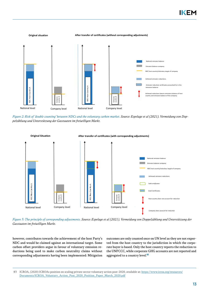

Figure 2: Risk of 'double counting' between NDCs and the voluntary carbon market. Source: Espelage et al (2021), Vermeidung von Doppelzählung und Unterstützung der Gasstaaten im freiwilligen Markt.



Figure 3: The principle of corresponding adjustments. Source: Espelage et al (2021), Vermeidung von Doppelzählung und Unterstützung der Gasstaaten im freiwilligen Markt.

however, contributes towards the achievement of the host Party's NDC and would be claimed against an international target. Some carbon offset providers argue in favour of voluntary emission reductions being used to make carbon neutrality claims without corresponding adjustments having been implemented: Mitigation

outcomes are only counted once on UN level as they are not exported from the host country to the jurisdiction in which the corporate buyer is based. Only the host country reports the reduction to the UNFCCC, while corporate GHG accounts are not reported and aggregated to a country level.**<sup>83</sup>**

<sup>83</sup> ICROA, (2020) ICROAs position on scaling private sector voluntary action post-2020, available at: [https://www.icroa.org/resources/](https://www.icroa.org/resources/Documents/ICROA_Voluntary_Action_Post_2020_Position_Paper_March_2020.pdf) [Documents/ICROA\\_Voluntary\\_Action\\_Post\\_2020\\_Position\\_Paper\\_March\\_2020.pdf](https://www.icroa.org/resources/Documents/ICROA_Voluntary_Action_Post_2020_Position_Paper_March_2020.pdf)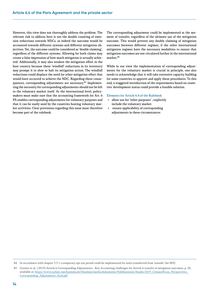However, this view does not thoroughly address the problem. The relevant risk to address here is not the double counting of emission reductions towards NDCs, as indeed the outcome would be accounted towards different systems and different mitigation objectives. Yet, the outcome could be considered as 'double claiming', regardless of the different systems. Allowing for both claims may create a false impression of how much mitigation is actually achieved. Additionally, it may also weaken the mitigation effort in the host country because these 'windfall' reductions in its inventory may prompt it to slow or halt its mitigation action. The windfall reductions could displace the need for other mitigation effort that would have occurred to achieve the NDC. Regarding these consequences, corresponding adjustments are necessary.**84** Implementing the necessity for corresponding adjustments should not be left to the voluntary market itself. At the international level, policymakers must make sure that the accounting framework for Art. 6 PA enables corresponding adjustments for voluntary purposes and that it can be easily used by the countries hosting voluntary market activities. Clear provisions regarding this issue must therefore become part of the rulebook.

The corresponding adjustment could be implemented at the moment of transfer, regardless of the ultimate use of the mitigation outcome. This would prevent any double claiming of mitigation outcomes between different regimes, if the other international mitigation regimes have the necessary modalities to ensure that mitigation outcomes are not circulated further in the international market.**<sup>85</sup>**

While in our view the implementation of corresponding adjustments for the voluntary market is crucial in principle, one also needs to acknowledge that it will take extensive capacity building for some countries to approve and apply these procedures. To this end, a staggered introduction of the requirements based on countries' development status could provide a feasible solution.

#### Elements for Article 6.4 of the Rulebook

- allow use for 'other purposes' ; explicitly include the voluntary market
- ensure applicability of corresponding adjustments in these circumstances

<sup>84</sup> In accordance with chapter 3.3.1 a temporary opt out period could be implemented for units transferred from 'outside' the NDC.

<sup>85</sup> Greiner et al., (2019) Article 6 Corresponding Adjustments - Key Accounting challenges for Article 6 transfer of mitigation outcomes, p. 28, available at: [https://www.carbon-mechanisms.de/fileadmin/media/dokumente/Publikationen/Studie/2019\\_ClimateFocus\\_Perspectives\\_](https://www.carbon-mechanisms.de/fileadmin/media/dokumente/Publikationen/Studie/2019_ClimateFocus_Perspectives_Corresponding_Adjustments_Art6.pdf) [Corresponding\\_Adjustments\\_Art6.pdf](https://www.carbon-mechanisms.de/fileadmin/media/dokumente/Publikationen/Studie/2019_ClimateFocus_Perspectives_Corresponding_Adjustments_Art6.pdf)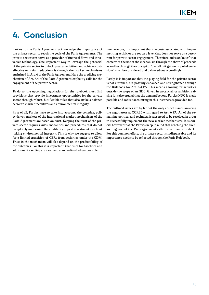## <span id="page-17-0"></span>**4. Conclusion**

Parties to the Paris Agreement acknowledge the importance of the private sector to reach the goals of the Paris Agreements. The private sector can serve as a provider of financial flows and innovative technology. One important way to leverage the potential of the private sector to unlock greater ambition and achieve costeffective emission reductions is through the market mechanisms enshrined in Art. 6 of the Paris Agreement. Here the crediting mechanism of Art. 6.4 of the Paris Agreement explicitly calls for the engagement of the private sector.

To do so, the upcoming negotiations for the rulebook must find provisions that provide investment opportunities for the private sector through robust, but flexible rules that also strike a balance between market incentives and environmental integrity.

First of all, Parties have to take into account, the complex, policy driven markets of the international market mechanisms of the Paris Agreement are based on trust. Keeping the trust of the private sector requires rules, modalities and procedures that do not completely undermine the credibility of past investments without risking environmental integrity. This is why we suggest to allow for a limited transition of CERs from activities under the CDM. Trust in the mechanism will also depend on the predictability of the outcomes. For this it is important, that rules for baselines and additionality setting are clear and standardized where possible.

Furthermore, it is important that the costs associated with implementing activities are set on a level that does not serve as a deterrent for private sector engagement. Therefore, rules on 'taxes' that come with the use of the mechanism through the share of proceeds as well as through the concept of 'overall mitigation in global emissions' must be considered and balanced out accordingly.

Lastly it is important that the playing field for the private sector is not curtailed, but possibly enhanced and strengthened through the Rulebook for Art. 6.4 PA. This means allowing for activities outside the scope of an NDC. Given its potential for ambition raising it is also crucial that the demand beyond Parties NDC is made possible and robust accounting in this instances is provided for.

The outlined issues are by far not the only crunch issues awaiting the negotiators at COP.26 with regard to Art. 6 PA. All of the remaining political and technical issues need to be resolved in order to successfully implement the new market mechanisms. It is crucial however that the Parties keep in mind that reaching the overarching goal of the Paris agreement calls for 'all hands on deck'. For this common effort, the private sector is indispensable and its importance needs to be reflected through the Paris Rulebook.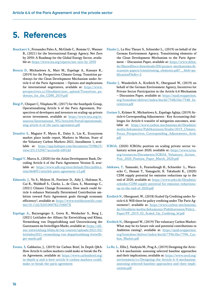## <span id="page-18-0"></span>**5. References**

- Bouckaert S., Fernandez Pales A., McGlade C., Remme U., Wanner B., (2021) for the International Energy Agency, Net Zero by 2050: A Roadmap for the Global Energy Sector, available at:<https://www.iea.org/reports/net-zero-by-2050>
- Brescia D., Michaelowa A., Marr M., Espelage A., Kassaye R., (2019) for the Perspectives Climate Group, Transition pathways for the Clean Development Mechanism under Article 6 of the Paris Agreement – Options and implications for international negotiators, available at: [https://www.](https://www.perspectives.cc/fileadmin/user_upload/Transition_pathways_for_the_CDM_2019.pdf) [perspectives.cc/fileadmin/user\\_upload/Transition\\_pa](https://www.perspectives.cc/fileadmin/user_upload/Transition_pathways_for_the_CDM_2019.pdf)thways for the CDM 2019.pdf
- Bürgi P., Chiquet C, Vilaplana M., (2017) for the Southpole Group, Operationalising Article 6 of the Paris Agreement, Perspectives of developers and investors on scaling-up private sector investment, available at: [https://www.ieta.org/re](https://www.ieta.org/resources/International_WG/Article6/Portal/operationalising-article-6-of-the-paris-agreement.pdf)[sources/International\\_WG/Article6/Portal/operationali](https://www.ieta.org/resources/International_WG/Article6/Portal/operationalising-article-6-of-the-paris-agreement.pdf)[sing-article-6-of-the-paris-agreement.pdf](https://www.ieta.org/resources/International_WG/Article6/Portal/operationalising-article-6-of-the-paris-agreement.pdf)
- Donofrio S., Maguire P., Myers K., Daley S., Lin K., Ecosystem market place inside report, Markets in Motion, State of the Voluntary Carbon Markets 2021, Installment 1, available at: [https://app.hubspot.com/documents/3298623/](https://app.hubspot.com/documents/3298623/view/251152947?accessId=fd91dd) [view/251152947?accessId=fd91dd](https://app.hubspot.com/documents/3298623/view/251152947?accessId=fd91dd)
- Duggal V., Marcu A., (2020) for the Asian Development Bank, Decoding Article 6 of the Paris Agreement Version II, available at: [https://www.adb.org/sites/default/files/publica](https://www.adb.org/sites/default/files/publication/664051/article6-paris-agreement-v2.pdf)[tion/664051/article6-paris-agreement-v2.pdf](https://www.adb.org/sites/default/files/publication/664051/article6-paris-agreement-v2.pdf)
- Edmonds. J., Yu S., McJeon H., Forrister D., Aldy J., Hultman N., Cui R., Waldhoff S., Clarke, L., de Clara, S., Munnings C., (2021) Climate Change Economics, How much could Article 6 enhance Nationally Determined Contribution ambition toward Paris Agreement goals through economic efficiency?, available at: [https://www.worldscientific.com/](https://www.worldscientific.com/doi/10.1142/S201000782150007X) [doi/10.1142/S201000782150007X](https://www.worldscientific.com/doi/10.1142/S201000782150007X)
- Espelage A., Butzengeiger S., Geres R., Weidacher S., Beeg J., (2021) Leitfaden der Allianz für Entwicklung und Klima, Vermeidung von Doppelzählung und Unterstützung der Gaststaaten im freiwilligen Markt, available at: [https://alli](https://allianz-entwicklung-klima.de/wp-content/uploads/2021/02/leitfaden2021-vermeidung-von-doppelzaehlung-freiwilliger-markt.pdf)[anz-entwicklung-klima.de/wp-content/uploads/2021/02/](https://allianz-entwicklung-klima.de/wp-content/uploads/2021/02/leitfaden2021-vermeidung-von-doppelzaehlung-freiwilliger-markt.pdf) [leitfaden2021-vermeidung-von-doppelzaehlung-freiwilli](https://allianz-entwicklung-klima.de/wp-content/uploads/2021/02/leitfaden2021-vermeidung-von-doppelzaehlung-freiwilliger-markt.pdf)[ger-markt.pdf](https://allianz-entwicklung-klima.de/wp-content/uploads/2021/02/leitfaden2021-vermeidung-von-doppelzaehlung-freiwilliger-markt.pdf)
- Ewans, S, Gabbatiss, J., (2019) for Carbon Brief, In Depth Q&A: How Article 6 carbon markets could make or break the Paris Agreement, available at: [https://www.carbonbrief.org/](https://www.carbonbrief.org/in-depth-q-and-a-how-article-6-carbon-markets-could-make-or-break-the-paris-agreement) [in-depth-q-and-a-how-article-6-carbon-markets-could](https://www.carbonbrief.org/in-depth-q-and-a-how-article-6-carbon-markets-could-make-or-break-the-paris-agreement)[make-or-break-the-paris-agreement](https://www.carbonbrief.org/in-depth-q-and-a-how-article-6-carbon-markets-could-make-or-break-the-paris-agreement)
- Füssler J., La Hoz Theuer S., Schneider L., (2019) on behalf of the German Environment Agency, Transitioning elements of the Clean Development Mechanism to the Paris Agreement – Discussion Paper, available at: [https://www.dehst.](https://www.dehst.de/SharedDocs/downloads/EN/project-mechanisms/discussion-papers/transitioning_elements.pdf?__blob=publicationFile&v=2) [de/SharedDocs/downloads/EN/project-mechanisms/di](https://www.dehst.de/SharedDocs/downloads/EN/project-mechanisms/discussion-papers/transitioning_elements.pdf?__blob=publicationFile&v=2)scussion-papers/transitioning\_elements.pdf? \_blob=pu[blicationFile&v=2](https://www.dehst.de/SharedDocs/downloads/EN/project-mechanisms/discussion-papers/transitioning_elements.pdf?__blob=publicationFile&v=2)
- Füssler J., Wunderlich A., Kreibich N., Obergassel W., (2019) on behalf of the German Environment Agency, Incentives for Private Sector Participation in the Article 6.4 Mechanism – Discussion Paper, available at: [https://epub.wupperinst.](https://epub.wupperinst.org/frontdoor/deliver/index/docId/7548/file/7548_Incentives.pdf) [org/frontdoor/deliver/index/docId/7548/file/7548\\_In](https://epub.wupperinst.org/frontdoor/deliver/index/docId/7548/file/7548_Incentives.pdf)[centives.pdf](https://epub.wupperinst.org/frontdoor/deliver/index/docId/7548/file/7548_Incentives.pdf)
- Greiner S., Krämer N., Michaelowa A., Espelage Aglaja, (2019) Article 6 Corresponding Adjustments - Key Accounting challenges for Article 6 transfer of mitigation outcomes, available at: [https://www.carbon-mechanisms.de/fileadmin/](https://www.carbon-mechanisms.de/fileadmin/media/dokumente/Publikationen/Studie/2019_ClimateFocus_Perspectives_Corresponding_Adjustments_Art6.pdf) [media/dokumente/Publikationen/Studie/2019\\_Climate-](https://www.carbon-mechanisms.de/fileadmin/media/dokumente/Publikationen/Studie/2019_ClimateFocus_Perspectives_Corresponding_Adjustments_Art6.pdf)[Focus\\_Perspectives\\_Corresponding\\_Adjustments\\_Art6.](https://www.carbon-mechanisms.de/fileadmin/media/dokumente/Publikationen/Studie/2019_ClimateFocus_Perspectives_Corresponding_Adjustments_Art6.pdf) [pdf](https://www.carbon-mechanisms.de/fileadmin/media/dokumente/Publikationen/Studie/2019_ClimateFocus_Perspectives_Corresponding_Adjustments_Art6.pdf)
- ICROA, (2020) ICROAs position on scaling private sector voluntary action post-2020, available at: [https://www.icroa.](https://www.icroa.org/resources/Documents/ICROA_Voluntary_Action_Post_2020_Position_Paper_March_2020.pdf) [org/resources/Documents/ICROA\\_Voluntary\\_Action\\_](https://www.icroa.org/resources/Documents/ICROA_Voluntary_Action_Post_2020_Position_Paper_March_2020.pdf) Post 2020 Position Paper March 2020.pdf
- Ishikawa, T., Yamasaki, S., Fearnehough H., Schneider L., Warnecke C., Hemmi T., Yamaguchi, K. Takahashi K., (2020) CDM supply potential for emission reductions up to the end of 2020, available at: [https://www.oeko.de/fileadmin/](https://www.oeko.de/fileadmin/oekodoc/CDM-supply-potential-for-emission-reductions-up-to-the-end-of-2020.pdf) [oekodoc/CDM-supply-potential-for-emission-reductions](https://www.oeko.de/fileadmin/oekodoc/CDM-supply-potential-for-emission-reductions-up-to-the-end-of-2020.pdf)[up-to-the-end-of-2020.pdf](https://www.oeko.de/fileadmin/oekodoc/CDM-supply-potential-for-emission-reductions-up-to-the-end-of-2020.pdf)
- Kreibich N., Obergassel, W., (2018) Scaled Up Crediting under Article 6.4: Will there be policy crediting under The Paris Agreement?, available at: [https://www.carbon-mechanisms.](https://www.carbon-mechanisms.de/fileadmin/media/dokumente/Publikationen/Policy_Paper/PP_2019_02_Scaled_Up_Crediting_bf.pdf) [de/fileadmin/media/dokumente/Publikationen/Policy\\_](https://www.carbon-mechanisms.de/fileadmin/media/dokumente/Publikationen/Policy_Paper/PP_2019_02_Scaled_Up_Crediting_bf.pdf) [Paper/PP\\_2019\\_02\\_Scaled\\_Up\\_Crediting\\_bf.pdf](https://www.carbon-mechanisms.de/fileadmin/media/dokumente/Publikationen/Policy_Paper/PP_2019_02_Scaled_Up_Crediting_bf.pdf)
- Kreibich N., Obergassel W., (2019) The voluntary Carbon Market: What may be its future role and potential contributions to Ambition raising?, available at: [https://epub.wupperinst.](https://epub.wupperinst.org/frontdoor/deliver/index/docId/7396/file/7396_Carbon_Market.pdf) [org/frontdoor/deliver/index/docId/7396/file/7396\\_Car](https://epub.wupperinst.org/frontdoor/deliver/index/docId/7396/file/7396_Carbon_Market.pdf)[bon\\_Market.pdf](https://epub.wupperinst.org/frontdoor/deliver/index/docId/7396/file/7396_Carbon_Market.pdf)
- Lo Re, L., Ellis J., Vaidyula M., Prag A., (2019) Designing the Article 6.4 mechanism: assessing selected baseline approaches and their implications, available at: [https://www.oecd.org/](https://www.oecd.org/environment/cc/Designing-the-Article-6-4-mechanism-assessing-selected-baseline-approaches-and-their-implications.pdf) [environment/cc/Designing-the-Article-6-4-mechanism](https://www.oecd.org/environment/cc/Designing-the-Article-6-4-mechanism-assessing-selected-baseline-approaches-and-their-implications.pdf)[assessing-selected-baseline-approaches-and-their-impli](https://www.oecd.org/environment/cc/Designing-the-Article-6-4-mechanism-assessing-selected-baseline-approaches-and-their-implications.pdf)[cations.pdf](https://www.oecd.org/environment/cc/Designing-the-Article-6-4-mechanism-assessing-selected-baseline-approaches-and-their-implications.pdf)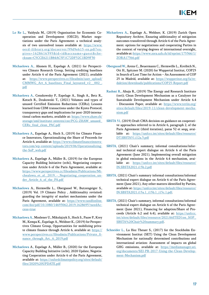- Lo Re L., Vaidyula M., (2019) Organisation for Economic Cooperation and Development (OECD), Market negotiations under the Paris Agreement: a technical analysis of two unresolved issues available at: [https://www.](https://www.oecd-ilibrary.org/docserver/99d9e615-en.pdf?expires=1628616395&id=id&accname=guest&checksum=C5CCE6211B84AC5F1C72DF52C1BD9F30) [oecd-ilibrary.org/docserver/99d9e615-en.pdf?ex](https://www.oecd-ilibrary.org/docserver/99d9e615-en.pdf?expires=1628616395&id=id&accname=guest&checksum=C5CCE6211B84AC5F1C72DF52C1BD9F30)[pires=1628616395&id=id&accname=guest&che](https://www.oecd-ilibrary.org/docserver/99d9e615-en.pdf?expires=1628616395&id=id&accname=guest&checksum=C5CCE6211B84AC5F1C72DF52C1BD9F30)[cksum=C5CCE6211B84AC5F1C72DF52C1BD9F30](https://www.oecd-ilibrary.org/docserver/99d9e615-en.pdf?expires=1628616395&id=id&accname=guest&checksum=C5CCE6211B84AC5F1C72DF52C1BD9F30)
- Michaelowa A., Ahonen H., Espelage A. (2021) for Perspectives Climate Research Group, Setting crediting baselines under Article 6 of the Paris Agreement (2021), available at: [https://www.perspectives.cc/fileadmin/user\\_upload/](https://www.perspectives.cc/fileadmin/user_upload/CMMWG_Art_6_baselines_Final_layouted_v2__002_.pdf) [CMMWG\\_Art\\_6\\_baselines\\_Final\\_layouted\\_v2\\_\\_002\\_.](https://www.perspectives.cc/fileadmin/user_upload/CMMWG_Art_6_baselines_Final_layouted_v2__002_.pdf) [pdf](https://www.perspectives.cc/fileadmin/user_upload/CMMWG_Art_6_baselines_Final_layouted_v2__002_.pdf)
- Michaelowa A., Censkowsky P., Espelage A., Singh A., Betz R., Kotsch R., Dzukowski T., (2021) Volumes and types of unused Certified Emission Reductions (CERs); Lessons learned from CDM transactions under the Kyoto Protocol, transparency gaps and implications for post-2020 international carbon markets, available at: [https://www.zhaw.ch/](https://www.zhaw.ch/storage/sml/institute-zentren/cee/PCG-ZHAW_unused_CERs_final_clean_PAC.pdf) [storage/sml/institute-zentren/cee/PCG-ZHAW\\_unused\\_](https://www.zhaw.ch/storage/sml/institute-zentren/cee/PCG-ZHAW_unused_CERs_final_clean_PAC.pdf) [CERs\\_final\\_clean\\_PAC.pdf](https://www.zhaw.ch/storage/sml/institute-zentren/cee/PCG-ZHAW_unused_CERs_final_clean_PAC.pdf)
- Michaelowa A., Espelage A., Hoch S., (2019) for Climate Finance Innovators, Operationalizing the Share of Proceeds for Article 6, available at: [https://www.climatefinanceinnova](https://www.climatefinanceinnovators.com/wp-content/uploads/2019/06/Operationalizing-the-SoP_web.pdf)[tors.com/wp-content/uploads/2019/06/Operationalizing](https://www.climatefinanceinnovators.com/wp-content/uploads/2019/06/Operationalizing-the-SoP_web.pdf)[the-SoP\\_web.pdf](https://www.climatefinanceinnovators.com/wp-content/uploads/2019/06/Operationalizing-the-SoP_web.pdf)
- Michaelowa A., Espelage A., Müller B., (2019) for the European Capacity Building Initiative (ecbi), Negotiating cooperation under Article 6 of the Paris Agreement, available at: [https://www.perspectives.cc/fileadmin/Publications/Mi](https://www.perspectives.cc/fileadmin/Publications/Michealowa_et_al._2019_-_Negotiating_cooperation_under_Article_6_of_the_PA.pdf  )chealowa et al. 2019 - Negotiating cooperation under Article 6 of the PA.pdf
- Michaelowa A., Hermwille L., Obergassel W., Butzengeiger S., (2019) Vol. 19 Climate Policy , Additionality revisited: guarding the integrity of market mechanisms under the Paris Agreement, available at: [https://www.tandfonline.](https://www.tandfonline.com/doi/pdf/10.1080/14693062.2019.1628695?needAccess=true) [com/doi/pdf/10.1080/14693062.2019.1628695?needAc](https://www.tandfonline.com/doi/pdf/10.1080/14693062.2019.1628695?needAccess=true)[cess=true](https://www.tandfonline.com/doi/pdf/10.1080/14693062.2019.1628695?needAccess=true)
- Michaelowa A., Moslener U., Mikolajzyk S., Hoch S., Pauw P., Krey M., Kempa K., Espelage A., Weldner K., (2019) for Perspectives Climate Group, Opportunities for mobilizing private climate finance through Article 6, available at: [https://](https://www.perspectives.cc/fileadmin/Publications/Private_finance_through_Art._6_2019.pdf) [www.perspectives.cc/fileadmin/Publications/Private\\_fi](https://www.perspectives.cc/fileadmin/Publications/Private_finance_through_Art._6_2019.pdf)nance through Art. 6 2019.pdf
- Michaelowa A., Espelage A., Müller B., (2020) for the European Capacity Building Initiative (ecbi), 2020 Update, Negotiating Cooperation under Article 6 of the Paris Agreement, available at: [https://oxfordclimatepolicy.org/sites/default/](https://oxfordclimatepolicy.org/sites/default/files/2020%20UPDATE.pdf) [files/2020%20UPDATE.pdf](https://oxfordclimatepolicy.org/sites/default/files/2020%20UPDATE.pdf)
- Michaelowa A., Espelage A., Weldner, K. (2019) Zurich Open Repository Archive, Ensuring additionality of mitigation outcomes transferred through Article 6 of the Paris Agreement: options for negotiations and cooperating Parties in the context of varying degrees of international oversight, available at: [https://www.zora.uzh.ch/id/eprint/175366/1/](https://www.zora.uzh.ch/id/eprint/175366/1/ZORA17366.pdf) [ZORA17366.pdf](https://www.zora.uzh.ch/id/eprint/175366/1/ZORA17366.pdf)
- Obergassel W., Arens C., Beuermann C., Hermwille L., Kreibich N., Ott H., Spitzner M. (2020) for Wuppertal Institut, COP25 in Search of Lost Time for Action – An Assessment of COP 25 in Madrid, available at: [https://wupperinst.org/fa/re](https://wupperinst.org/fa/redaktion/downloads/publications/COP25-Report.pdf)[daktion/downloads/publications/COP25-Report.pdf](https://wupperinst.org/fa/redaktion/downloads/publications/COP25-Report.pdf)
- Rashmi R., Ahuja R., (2019) The Energy and Research Institute (teri); Clean Development Mechanism as a Catalyser for Sustainable Development Mechanism under Article 6.4 - Discussion Paper, available at: [https://www.teriin.org/](https://www.teriin.org/sites/default/files/2019-11/clean-development-mechanism.pdf) [sites/default/files/2019-11/clean-development-mecha](https://www.teriin.org/sites/default/files/2019-11/clean-development-mechanism.pdf)[nism.pdf](https://www.teriin.org/sites/default/files/2019-11/clean-development-mechanism.pdf)
- SBSTA 51, (2019) Draft CMA decision on guidance on cooperative approaches referred to in Article 6, paragraph 2, of the Paris Agreement (third iteration), paras 52 et seqq, available at: [https://unfccc.int/sites/default/files/resource/](https://unfccc.int/sites/default/files/resource/DT.SBSTA51.i12a.3.pdf) [DT.SBSTA51.i12a.3.pdf](https://unfccc.int/sites/default/files/resource/DT.SBSTA51.i12a.3.pdf)
- SBSTA, (2021) Chair's summary, informal consultations/informal technical expert dialogue on Article 6 of the Paris Agreement (June 2021), Implementing overall mitigation in global emissions in the Article 6.4 mechanism, available at: [https://unfccc.int/sites/default/files/resource/](https://unfccc.int/sites/default/files/resource/IN.SBSTA2021.i15b.2.pdf) [IN.SBSTA2021.i15b.2.pdf](https://unfccc.int/sites/default/files/resource/IN.SBSTA2021.i15b.2.pdf)
- SBSTA, (2021) Chair's summary informal consultations/informal technical expert dialogue on Article 6 of the Paris Agreement (June 2021), Any other matters identified by Parties, available at: [https://unfcccint/sites/default/files/resource/](https://unfcccint/sites/default/files/resource/IN.SBSTA2021.i15a.1_i15b.1_i15c.1.pdf) [IN.SBSTA2021.i15a.1\\_i15b.1\\_i15c.1.pdf](https://unfcccint/sites/default/files/resource/IN.SBSTA2021.i15a.1_i15b.1_i15c.1.pdf).
- SBSTA, (2021) Chair's summary, informal consultations/informal technical expert dialogue on Article 6 of the Paris Agreement (June 2021), Financing for adaption/Share of Proceeds (Article 6.2 and 6.4), available at: [https://unfccc.](https://unfccc.int/sites/default/files/resource/2021A6ITED1on_SOP_SBSTA%20Chair%20summary.pdf) [int/sites/default/files/resource/2021A6ITED1on\\_SOP\\_](https://unfccc.int/sites/default/files/resource/2021A6ITED1on_SOP_SBSTA%20Chair%20summary.pdf) [SBSTA%20Chair%20summary.pdf](https://unfccc.int/sites/default/files/resource/2021A6ITED1on_SOP_SBSTA%20Chair%20summary.pdf).
- Schneider L., La Hoz Theuer S., (2017) for the Stockholm Environment Institut (SET) Using the Clean Development Mechanism for nationally determined contributions and international aviation: Assessment of impacts on global GHG emissions, available at: [https://mediamanager.sei.](https://mediamanager.sei.org/documents/SEI-PR-2017-Using-the-Clean-Development-Mechanism.pdf) [org/documents/SEI-PR-2017-Using-the-Clean-Develop](https://mediamanager.sei.org/documents/SEI-PR-2017-Using-the-Clean-Development-Mechanism.pdf)[ment-Mechanism.pdf](https://mediamanager.sei.org/documents/SEI-PR-2017-Using-the-Clean-Development-Mechanism.pdf)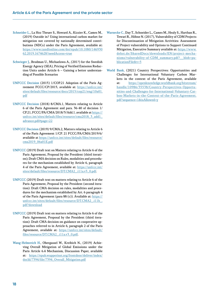- Schneider L., La Hoz Theuer S., Howard A., Kizzier K., Cames M., (2019) Outside in? Using international carbon market for mitigation not covered by nationally determined contributions (NDCs) under the Paris Agreement, available at: [https://www.tandfonline.com/doi/epub/10.1080/146930](https://www.tandfonline.com/doi/epub/10.1080/14693062.2019.1674628?needAccess=true) [62.2019.1674628?needAccess=true](https://www.tandfonline.com/doi/epub/10.1080/14693062.2019.1674628?needAccess=true)
- Schwieger J., Brodman U., Michaelowa A., (201?) for the Swedish Energy Agency (SEA), Pricing of Verified Emission Reduction Units under Article 6 – Gaining a better understanding of Possible Scenarios
- UNFCCC Decision (2015) 1/COP.21 Adoption of the Paris Agreement FCCC/CP/2015, available at: [https://unfccc.int/](https://unfccc.int/sites/default/files/resource/docs/2015/cop21/eng/10a01.pdf) [sites/default/files/resource/docs/2015/cop21/eng/10a01.](https://unfccc.int/sites/default/files/resource/docs/2015/cop21/eng/10a01.pdf) [pdf](https://unfccc.int/sites/default/files/resource/docs/2015/cop21/eng/10a01.pdf)
- UNFCCC Decision (2018) 8/CMA.1, Matters relating to Article 6 of the Paris Agreement and para. 36-40 of decision 1/ CP.21, FCCC/PA/CMA/2018/3/Add.1, available at https:// unfccc.int/sites/default/files/resource/cma2018\_3\_add1 advance.pdf#page=22
- UNFCCC Decision (2019) 9/CMA.2, Matters relating to Article 6 of the Paris Agreement 1/CP. 21 FCCC/PA/CMA/2019/6/ available at [https://unfccc.int/sites/default/files/resource/](https://unfccc.int/sites/default/files/resource/cma2019_06a01E.pdf) [cma2019\\_06a01E.pdf](https://unfccc.int/sites/default/files/resource/cma2019_06a01E.pdf)
- UNFCCC (2019) Draft text on Matters relating to Article 6 of the Paris Agreement, Proposal by the President (third iteration); Draft CMA decision on Rules, modalities and procedures for the mechanism established by Article 6, paragraph 4 of the Paris Agreement, available at: [https://unfccc.int/](https://unfccc.int/sites/default/files/resource/DT.CMA2_.i11a.v3_0.pdf) [sites/default/files/resource/DT.CMA2\\_.i11a.v3\\_0.pdf.](https://unfccc.int/sites/default/files/resource/DT.CMA2_.i11a.v3_0.pdf)
- UNFCCC (2019) Draft text on matters relating to Article 6 of the Paris Agreement, Proposal by the President (second iteration): Draft CMA decision on rules, modalities and procedures for the mechanism established by Art. 6 paragraph 4 of the Paris Agreement (para 88 (c)). Available at: [https://](https://unfccc.int/sites/default/files/resource/DT.CMA2_.i11b_.pdf?download) [unfccc.int/sites/default/files/resource/DT.CMA2\\_.i11b\\_.](https://unfccc.int/sites/default/files/resource/DT.CMA2_.i11b_.pdf?download) [pdf?download](https://unfccc.int/sites/default/files/resource/DT.CMA2_.i11b_.pdf?download)
- UNFCCC (2019) Draft text on matters relating to Article 6 of the Paris Agreement, Proposal by the President (third iteration): Draft CMA decision on guidance on cooperative approaches referred to in Article 6, paragraph 2 of the Paris Agreement, available at: [https://unfccc.int/sites/default/](https://unfccc.int/sites/default/files/resource/DT.CMA2_.i11a.v3_0.pdf) [files/resource/DT.CMA2\\_.i11a.v3\\_0.pdf.](https://unfccc.int/sites/default/files/resource/DT.CMA2_.i11a.v3_0.pdf)
- Wang-Helmreich H., Obergassel W., Kreibich N., (2019) Achieving Overall Mitigation of Global Emissions under the Paris Article 6.4 Mechanism, Discussion Paper, available at: [https://epub.wupperinst.org/frontdoor/deliver/index/](https://epub.wupperinst.org/frontdoor/deliver/index/docId/7394/file/7394_Overall_Mitigation.pdf) [docId/7394/file/7394\\_Overall\\_Mitigation.pdf](https://epub.wupperinst.org/frontdoor/deliver/index/docId/7394/file/7394_Overall_Mitigation.pdf)
- Warnecke C., Day T., Schneider L., Cames M., Healy S., Harthan R., Tewari R., Höhne N. (2017), Vulnerability of CDM Projects for Discontinuation of Mitigation Activities: Assessment of Project vulnerability and Options to Support Continued Mitigation, Executive Summary available at: [https://www.](https://www.dehst.de/SharedDocs/downloads/EN/project-mechanisms/vulnerability-of-CDM_summary.pdf?__blob=publicationFile&v=5) [dehst.de/SharedDocs/downloads/EN/project-mecha](https://www.dehst.de/SharedDocs/downloads/EN/project-mechanisms/vulnerability-of-CDM_summary.pdf?__blob=publicationFile&v=5)[nisms/vulnerability-of-CDM\\_summary.pdf?\\_\\_blob=pu](https://www.dehst.de/SharedDocs/downloads/EN/project-mechanisms/vulnerability-of-CDM_summary.pdf?__blob=publicationFile&v=5)[blicationFile&v=5](https://www.dehst.de/SharedDocs/downloads/EN/project-mechanisms/vulnerability-of-CDM_summary.pdf?__blob=publicationFile&v=5)
- World Bank, (2021) Country Perspectives: Opportunities and Challenges for International Voluntary Carbon Markets in the context of the Paris Agreement, available at: [https://openknowledge.worldbank.org/bitstream/](https://openknowledge.worldbank.org/bitstream/handle/10986/35538/Country-Perspectives-Opportunities-and-Challenges-for-International-Voluntary-Carbon-Markets-in-the-Context-of-the-Paris-Agreement.pdf?sequence=1&isAllowed=y) [handle/10986/35538/Country-Perspectives-Opportu](https://openknowledge.worldbank.org/bitstream/handle/10986/35538/Country-Perspectives-Opportunities-and-Challenges-for-International-Voluntary-Carbon-Markets-in-the-Context-of-the-Paris-Agreement.pdf?sequence=1&isAllowed=y)[nities-and-Challenges-for-International-Voluntary-Car](https://openknowledge.worldbank.org/bitstream/handle/10986/35538/Country-Perspectives-Opportunities-and-Challenges-for-International-Voluntary-Carbon-Markets-in-the-Context-of-the-Paris-Agreement.pdf?sequence=1&isAllowed=y)[bon-Markets-in-the-Context-of-the-Paris-Agreement.](https://openknowledge.worldbank.org/bitstream/handle/10986/35538/Country-Perspectives-Opportunities-and-Challenges-for-International-Voluntary-Carbon-Markets-in-the-Context-of-the-Paris-Agreement.pdf?sequence=1&isAllowed=y) [pdf?sequence=1&isAllowed=y](https://openknowledge.worldbank.org/bitstream/handle/10986/35538/Country-Perspectives-Opportunities-and-Challenges-for-International-Voluntary-Carbon-Markets-in-the-Context-of-the-Paris-Agreement.pdf?sequence=1&isAllowed=y)